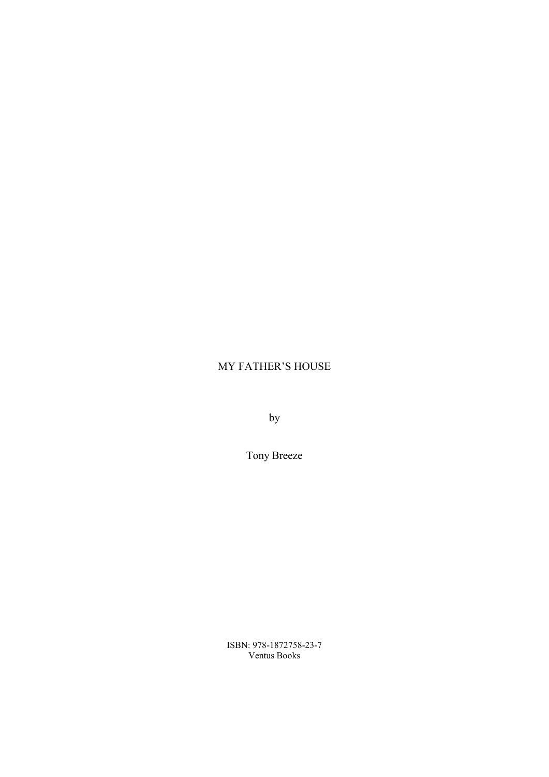## MY FATHER'S HOUSE

by

Tony Breeze

ISBN: 978-1872758-23-7 Ventus Books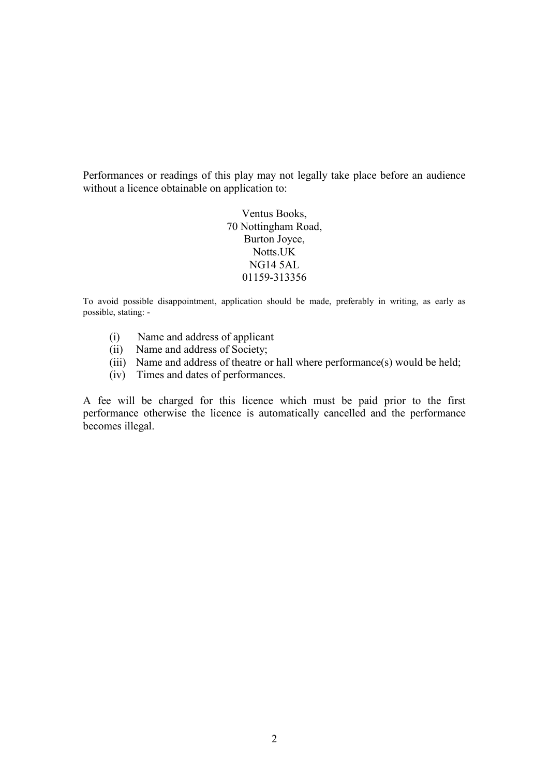Performances or readings of this play may not legally take place before an audience without a licence obtainable on application to:

> Ventus Books, 70 Nottingham Road, Burton Joyce, Notts. UK NG14 5AL 01159-313356

To avoid possible disappointment, application should be made, preferably in writing, as early as possible, stating: -

- (i) Name and address of applicant
- (ii) Name and address of Society;
- (iii) Name and address of theatre or hall where performance(s) would be held;
- (iv) Times and dates of performances.

A fee will be charged for this licence which must be paid prior to the first performance otherwise the licence is automatically cancelled and the performance becomes illegal.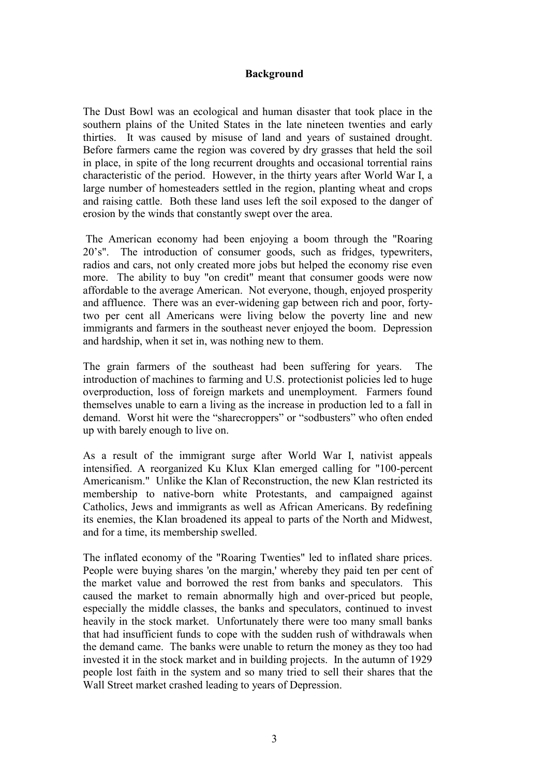## **Background**

The Dust Bowl was an ecological and human disaster that took place in the southern plains of the United States in the late nineteen twenties and early thirties. It was caused by misuse of land and years of sustained drought. Before farmers came the region was covered by dry grasses that held the soil in place, in spite of the long recurrent droughts and occasional torrential rains characteristic of the period. However, in the thirty years after World War I, a large number of homesteaders settled in the region, planting wheat and crops and raising cattle. Both these land uses left the soil exposed to the danger of erosion by the winds that constantly swept over the area.

 The American economy had been enjoying a boom through the "Roaring 20's". The introduction of consumer goods, such as fridges, typewriters, radios and cars, not only created more jobs but helped the economy rise even more. The ability to buy "on credit" meant that consumer goods were now affordable to the average American. Not everyone, though, enjoyed prosperity and affluence. There was an ever-widening gap between rich and poor, fortytwo per cent all Americans were living below the poverty line and new immigrants and farmers in the southeast never enjoyed the boom. Depression and hardship, when it set in, was nothing new to them.

The grain farmers of the southeast had been suffering for years. The introduction of machines to farming and U.S. protectionist policies led to huge overproduction, loss of foreign markets and unemployment. Farmers found themselves unable to earn a living as the increase in production led to a fall in demand. Worst hit were the "sharecroppers" or "sodbusters" who often ended up with barely enough to live on.

As a result of the immigrant surge after World War I, nativist appeals intensified. A reorganized Ku Klux Klan emerged calling for "100-percent Americanism." Unlike the Klan of Reconstruction, the new Klan restricted its membership to native-born white Protestants, and campaigned against Catholics, Jews and immigrants as well as African Americans. By redefining its enemies, the Klan broadened its appeal to parts of the North and Midwest, and for a time, its membership swelled.

The inflated economy of the "Roaring Twenties" led to inflated share prices. People were buying shares 'on the margin,' whereby they paid ten per cent of the market value and borrowed the rest from banks and speculators. This caused the market to remain abnormally high and over-priced but people, especially the middle classes, the banks and speculators, continued to invest heavily in the stock market. Unfortunately there were too many small banks that had insufficient funds to cope with the sudden rush of withdrawals when the demand came. The banks were unable to return the money as they too had invested it in the stock market and in building projects. In the autumn of 1929 people lost faith in the system and so many tried to sell their shares that the Wall Street market crashed leading to years of Depression.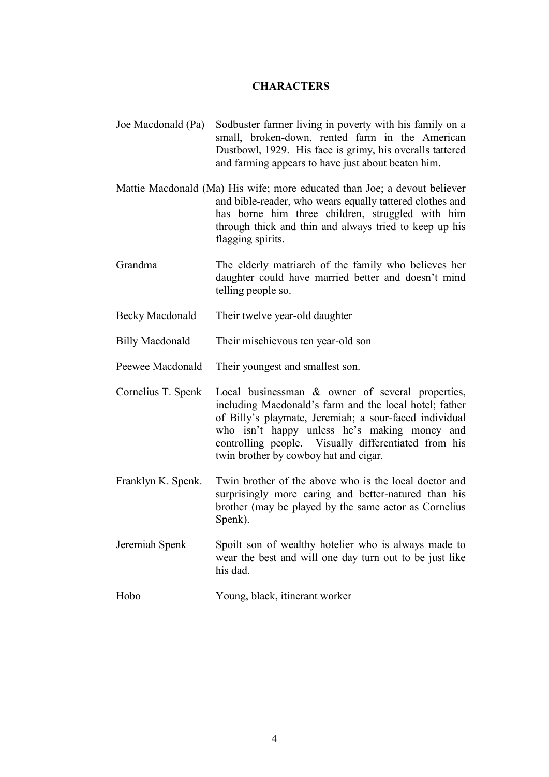## **CHARACTERS**

- Joe Macdonald (Pa) Sodbuster farmer living in poverty with his family on a small, broken-down, rented farm in the American Dustbowl, 1929. His face is grimy, his overalls tattered and farming appears to have just about beaten him.
- Mattie Macdonald (Ma) His wife; more educated than Joe; a devout believer and bible-reader, who wears equally tattered clothes and has borne him three children, struggled with him through thick and thin and always tried to keep up his flagging spirits.
- Grandma The elderly matriarch of the family who believes her daughter could have married better and doesn't mind telling people so.
- Becky Macdonald Their twelve year-old daughter
- Billy Macdonald Their mischievous ten year-old son
- Peewee Macdonald Their youngest and smallest son.
- Cornelius T. Spenk Local businessman & owner of several properties, including Macdonald's farm and the local hotel; father of Billy's playmate, Jeremiah; a sour-faced individual who isn't happy unless he's making money and controlling people. Visually differentiated from his twin brother by cowboy hat and cigar.
- Franklyn K. Spenk. Twin brother of the above who is the local doctor and surprisingly more caring and better-natured than his brother (may be played by the same actor as Cornelius Spenk).
- Jeremiah Spenk Spoilt son of wealthy hotelier who is always made to wear the best and will one day turn out to be just like his dad.
- Hobo Young, black, itinerant worker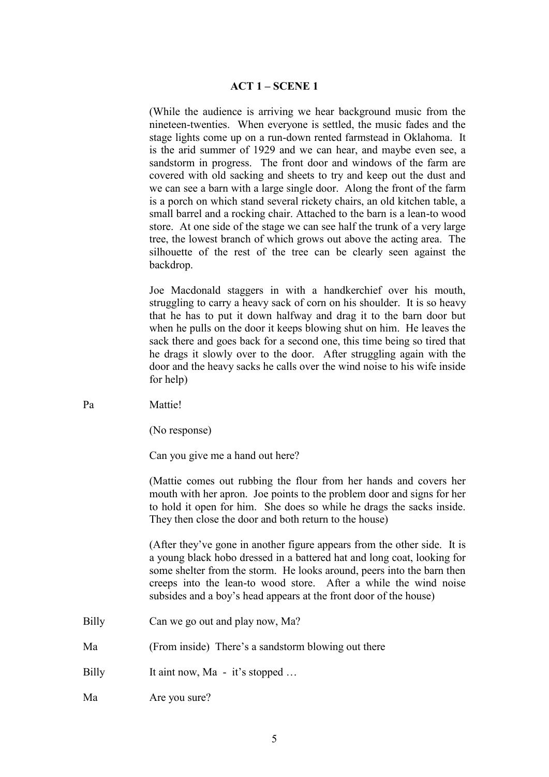## **ACT 1 – SCENE 1**

(While the audience is arriving we hear background music from the nineteen-twenties. When everyone is settled, the music fades and the stage lights come up on a run-down rented farmstead in Oklahoma. It is the arid summer of 1929 and we can hear, and maybe even see, a sandstorm in progress. The front door and windows of the farm are covered with old sacking and sheets to try and keep out the dust and we can see a barn with a large single door. Along the front of the farm is a porch on which stand several rickety chairs, an old kitchen table, a small barrel and a rocking chair. Attached to the barn is a lean-to wood store. At one side of the stage we can see half the trunk of a very large tree, the lowest branch of which grows out above the acting area. The silhouette of the rest of the tree can be clearly seen against the backdrop.

Joe Macdonald staggers in with a handkerchief over his mouth, struggling to carry a heavy sack of corn on his shoulder. It is so heavy that he has to put it down halfway and drag it to the barn door but when he pulls on the door it keeps blowing shut on him. He leaves the sack there and goes back for a second one, this time being so tired that he drags it slowly over to the door. After struggling again with the door and the heavy sacks he calls over the wind noise to his wife inside for help)

Pa Mattie!

(No response)

Can you give me a hand out here?

(Mattie comes out rubbing the flour from her hands and covers her mouth with her apron. Joe points to the problem door and signs for her to hold it open for him. She does so while he drags the sacks inside. They then close the door and both return to the house)

(After they've gone in another figure appears from the other side. It is a young black hobo dressed in a battered hat and long coat, looking for some shelter from the storm. He looks around, peers into the barn then creeps into the lean-to wood store. After a while the wind noise subsides and a boy's head appears at the front door of the house)

- Billy Can we go out and play now, Ma?
- Ma (From inside) There's a sandstorm blowing out there
- Billy It aint now, Ma it's stopped ...
- Ma Are you sure?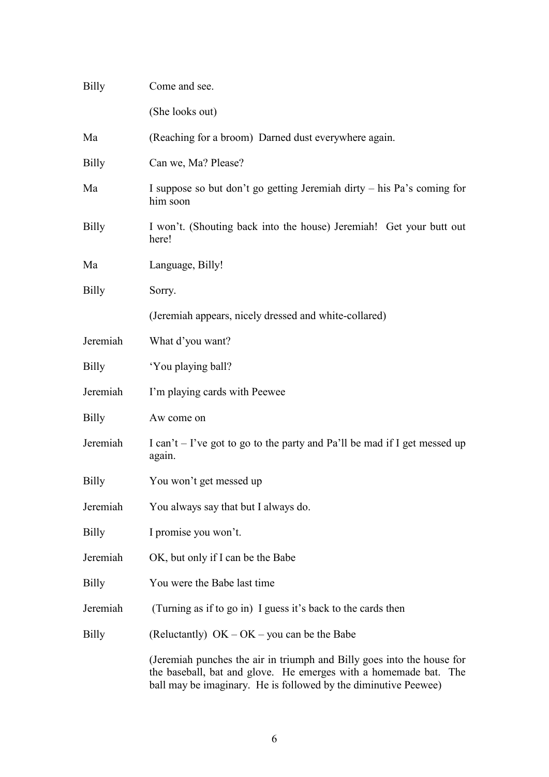| <b>Billy</b> | Come and see.                                                                                                                                                                                                 |
|--------------|---------------------------------------------------------------------------------------------------------------------------------------------------------------------------------------------------------------|
|              | (She looks out)                                                                                                                                                                                               |
| Ma           | (Reaching for a broom) Darned dust everywhere again.                                                                                                                                                          |
| Billy        | Can we, Ma? Please?                                                                                                                                                                                           |
| Ma           | I suppose so but don't go getting Jeremiah dirty – his Pa's coming for<br>him soon                                                                                                                            |
| <b>Billy</b> | I won't. (Shouting back into the house) Jeremiah! Get your butt out<br>here!                                                                                                                                  |
| Ma           | Language, Billy!                                                                                                                                                                                              |
| <b>Billy</b> | Sorry.                                                                                                                                                                                                        |
|              | (Jeremiah appears, nicely dressed and white-collared)                                                                                                                                                         |
| Jeremiah     | What d'you want?                                                                                                                                                                                              |
| <b>Billy</b> | 'You playing ball?                                                                                                                                                                                            |
| Jeremiah     | I'm playing cards with Peewee                                                                                                                                                                                 |
| <b>Billy</b> | Aw come on                                                                                                                                                                                                    |
| Jeremiah     | I can't $-$ I've got to go to the party and Pa'll be mad if I get messed up<br>again.                                                                                                                         |
| <b>Billy</b> | You won't get messed up                                                                                                                                                                                       |
| Jeremiah     | You always say that but I always do.                                                                                                                                                                          |
| <b>Billy</b> | I promise you won't.                                                                                                                                                                                          |
| Jeremiah     | OK, but only if I can be the Babe                                                                                                                                                                             |
| Billy        | You were the Babe last time                                                                                                                                                                                   |
| Jeremiah     | (Turning as if to go in) I guess it's back to the cards then                                                                                                                                                  |
| <b>Billy</b> | (Reluctantly) $OK - OK - you$ can be the Babe                                                                                                                                                                 |
|              | (Jeremiah punches the air in triumph and Billy goes into the house for<br>the baseball, bat and glove. He emerges with a homemade bat. The<br>ball may be imaginary. He is followed by the diminutive Peewee) |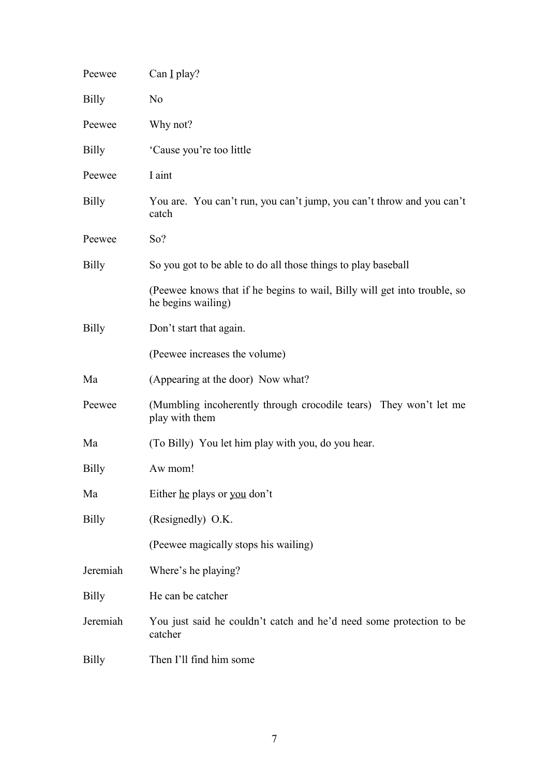| Peewee       | Can $I$ play?                                                                                  |
|--------------|------------------------------------------------------------------------------------------------|
| <b>Billy</b> | N <sub>o</sub>                                                                                 |
| Peewee       | Why not?                                                                                       |
| Billy        | 'Cause you're too little                                                                       |
| Peewee       | I aint                                                                                         |
| <b>Billy</b> | You are. You can't run, you can't jump, you can't throw and you can't<br>catch                 |
| Peewee       | So?                                                                                            |
| <b>Billy</b> | So you got to be able to do all those things to play baseball                                  |
|              | (Peewee knows that if he begins to wail, Billy will get into trouble, so<br>he begins wailing) |
| <b>Billy</b> | Don't start that again.                                                                        |
|              | (Peewee increases the volume)                                                                  |
| Ma           | (Appearing at the door) Now what?                                                              |
| Peewee       | (Mumbling incoherently through crocodile tears) They won't let me<br>play with them            |
| Ma           | (To Billy) You let him play with you, do you hear.                                             |
| Billy        | Aw mom!                                                                                        |
| Ma           | Either he plays or you don't                                                                   |
| <b>Billy</b> | (Resignedly) O.K.                                                                              |
|              | (Peewee magically stops his wailing)                                                           |
| Jeremiah     | Where's he playing?                                                                            |
| Billy        | He can be catcher                                                                              |
| Jeremiah     | You just said he couldn't catch and he'd need some protection to be<br>catcher                 |
| <b>Billy</b> | Then I'll find him some                                                                        |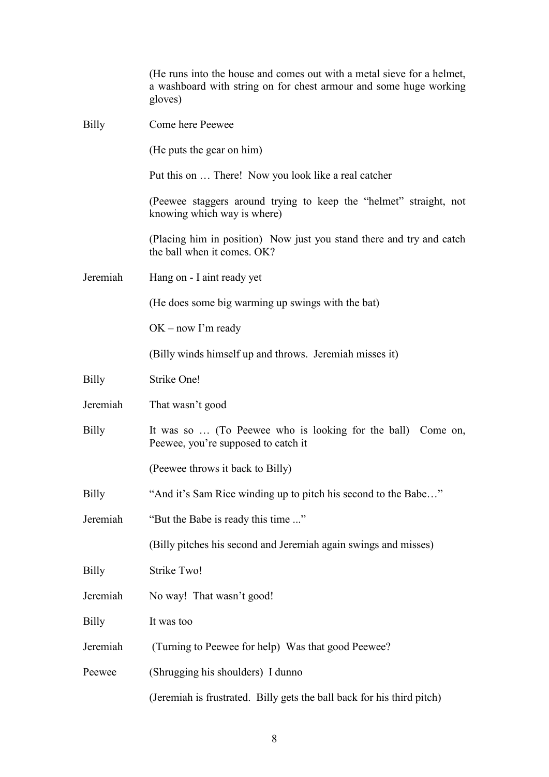|              | (He runs into the house and comes out with a metal sieve for a helmet,<br>a washboard with string on for chest armour and some huge working<br>gloves) |
|--------------|--------------------------------------------------------------------------------------------------------------------------------------------------------|
| Billy        | Come here Peewee                                                                                                                                       |
|              | (He puts the gear on him)                                                                                                                              |
|              | Put this on  There! Now you look like a real catcher                                                                                                   |
|              | (Peewee staggers around trying to keep the "helmet" straight, not<br>knowing which way is where)                                                       |
|              | (Placing him in position) Now just you stand there and try and catch<br>the ball when it comes. OK?                                                    |
| Jeremiah     | Hang on - I aint ready yet                                                                                                                             |
|              | (He does some big warming up swings with the bat)                                                                                                      |
|              | $OK - now I'm ready$                                                                                                                                   |
|              | (Billy winds himself up and throws. Jeremiah misses it)                                                                                                |
| <b>Billy</b> | Strike One!                                                                                                                                            |
| Jeremiah     | That wasn't good                                                                                                                                       |
| <b>Billy</b> | It was so  (To Peewee who is looking for the ball) Come on,<br>Peewee, you're supposed to catch it                                                     |
|              | (Peewee throws it back to Billy)                                                                                                                       |
| Billy        | "And it's Sam Rice winding up to pitch his second to the Babe"                                                                                         |
| Jeremiah     | "But the Babe is ready this time "                                                                                                                     |
|              | (Billy pitches his second and Jeremiah again swings and misses)                                                                                        |
| <b>Billy</b> | Strike Two!                                                                                                                                            |
| Jeremiah     | No way! That wasn't good!                                                                                                                              |
| Billy        | It was too                                                                                                                                             |
| Jeremiah     | (Turning to Peewee for help) Was that good Peewee?                                                                                                     |
| Peewee       | (Shrugging his shoulders) I dunno                                                                                                                      |
|              | (Jeremiah is frustrated. Billy gets the ball back for his third pitch)                                                                                 |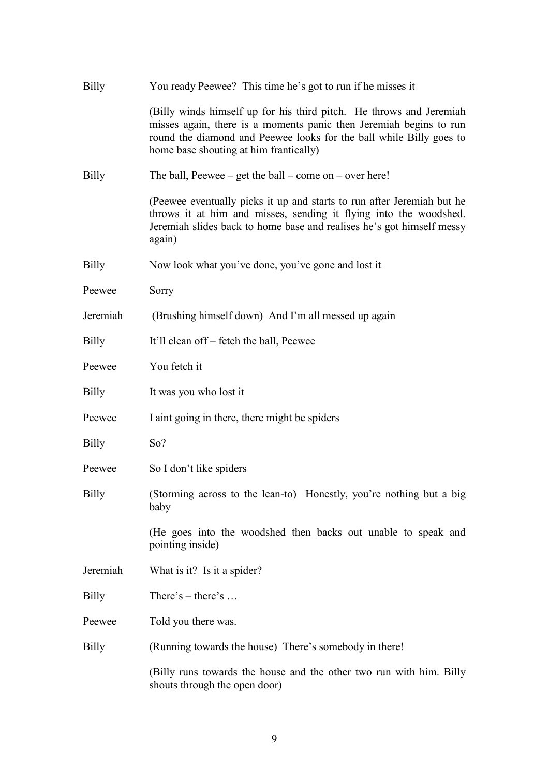| <b>Billy</b> | You ready Peewee? This time he's got to run if he misses it                                                                                                                                                                                                |
|--------------|------------------------------------------------------------------------------------------------------------------------------------------------------------------------------------------------------------------------------------------------------------|
|              | (Billy winds himself up for his third pitch. He throws and Jeremiah<br>misses again, there is a moments panic then Jeremiah begins to run<br>round the diamond and Peewee looks for the ball while Billy goes to<br>home base shouting at him frantically) |
| Billy        | The ball, Peewee $-$ get the ball $-$ come on $-$ over here!                                                                                                                                                                                               |
|              | (Peewee eventually picks it up and starts to run after Jeremiah but he<br>throws it at him and misses, sending it flying into the woodshed.<br>Jeremiah slides back to home base and realises he's got himself messy<br>again)                             |
| Billy        | Now look what you've done, you've gone and lost it                                                                                                                                                                                                         |
| Peewee       | Sorry                                                                                                                                                                                                                                                      |
| Jeremiah     | (Brushing himself down) And I'm all messed up again                                                                                                                                                                                                        |
| Billy        | It'll clean off – fetch the ball, Peewee                                                                                                                                                                                                                   |
| Peewee       | You fetch it                                                                                                                                                                                                                                               |
| Billy        | It was you who lost it                                                                                                                                                                                                                                     |
| Peewee       | I aint going in there, there might be spiders                                                                                                                                                                                                              |
| Billy        | So?                                                                                                                                                                                                                                                        |
| Peewee       | So I don't like spiders                                                                                                                                                                                                                                    |
| Billy        | (Storming across to the lean-to) Honestly, you're nothing but a big<br>baby                                                                                                                                                                                |
|              | (He goes into the woodshed then backs out unable to speak and<br>pointing inside)                                                                                                                                                                          |
| Jeremiah     | What is it? Is it a spider?                                                                                                                                                                                                                                |
| Billy        | There's $-$ there's $\ldots$                                                                                                                                                                                                                               |
| Peewee       | Told you there was.                                                                                                                                                                                                                                        |
| Billy        | (Running towards the house) There's somebody in there!                                                                                                                                                                                                     |
|              | (Billy runs towards the house and the other two run with him. Billy<br>shouts through the open door)                                                                                                                                                       |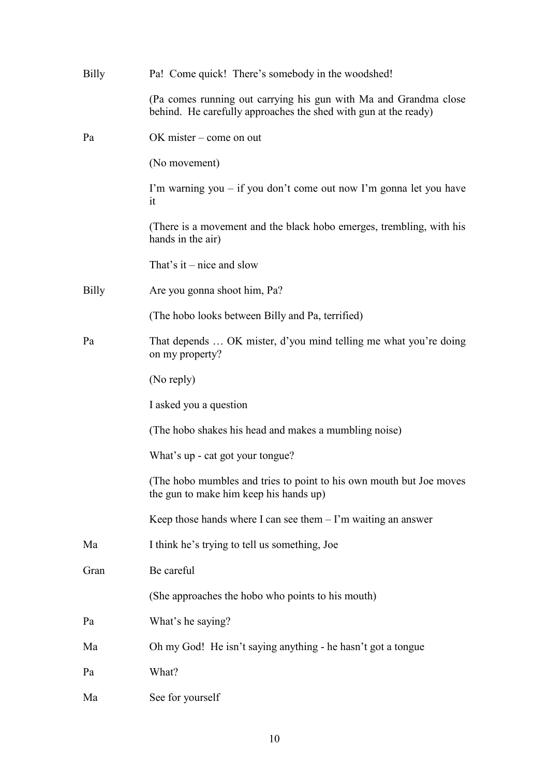| <b>Billy</b> | Pa! Come quick! There's somebody in the woodshed!                                                                                   |
|--------------|-------------------------------------------------------------------------------------------------------------------------------------|
|              | (Pa comes running out carrying his gun with Ma and Grandma close<br>behind. He carefully approaches the shed with gun at the ready) |
| Pa           | $OK$ mister – come on out                                                                                                           |
|              | (No movement)                                                                                                                       |
|              | I'm warning you – if you don't come out now I'm gonna let you have<br>it                                                            |
|              | (There is a movement and the black hobo emerges, trembling, with his<br>hands in the air)                                           |
|              | That's it – nice and slow                                                                                                           |
| <b>Billy</b> | Are you gonna shoot him, Pa?                                                                                                        |
|              | (The hobo looks between Billy and Pa, terrified)                                                                                    |
| Pa           | That depends  OK mister, d'you mind telling me what you're doing<br>on my property?                                                 |
|              | (No reply)                                                                                                                          |
|              | I asked you a question                                                                                                              |
|              | (The hobo shakes his head and makes a mumbling noise)                                                                               |
|              | What's up - cat got your tongue?                                                                                                    |
|              | (The hobo mumbles and tries to point to his own mouth but Joe moves<br>the gun to make him keep his hands up)                       |
|              | Keep those hands where I can see them $-1$ 'm waiting an answer                                                                     |
| Ma           | I think he's trying to tell us something, Joe                                                                                       |
| Gran         | Be careful                                                                                                                          |
|              | (She approaches the hobo who points to his mouth)                                                                                   |
| Pa           | What's he saying?                                                                                                                   |
| Ma           | Oh my God! He isn't saying anything - he hasn't got a tongue                                                                        |
| Pa           | What?                                                                                                                               |
| Ma           | See for yourself                                                                                                                    |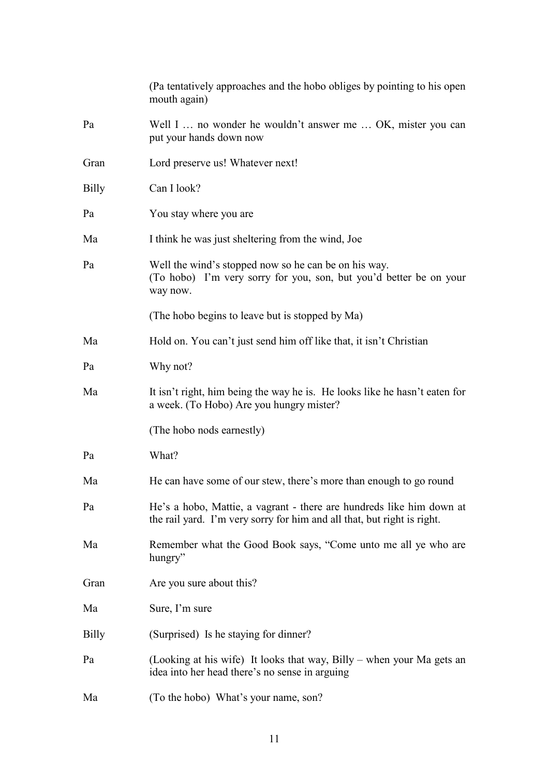|              | (Pa tentatively approaches and the hobo obliges by pointing to his open<br>mouth again)                                                         |
|--------------|-------------------------------------------------------------------------------------------------------------------------------------------------|
| Pa           | Well I  no wonder he wouldn't answer me  OK, mister you can<br>put your hands down now                                                          |
| Gran         | Lord preserve us! Whatever next!                                                                                                                |
| <b>Billy</b> | Can I look?                                                                                                                                     |
| Pa           | You stay where you are                                                                                                                          |
| Ma           | I think he was just sheltering from the wind, Joe                                                                                               |
| Pa           | Well the wind's stopped now so he can be on his way.<br>(To hobo) I'm very sorry for you, son, but you'd better be on your<br>way now.          |
|              | (The hobo begins to leave but is stopped by Ma)                                                                                                 |
| Ma           | Hold on. You can't just send him off like that, it isn't Christian                                                                              |
| Pa           | Why not?                                                                                                                                        |
| Ma           | It isn't right, him being the way he is. He looks like he hasn't eaten for<br>a week. (To Hobo) Are you hungry mister?                          |
|              | (The hobo nods earnestly)                                                                                                                       |
| Pa           | What?                                                                                                                                           |
| Ma           | He can have some of our stew, there's more than enough to go round                                                                              |
| Pa           | He's a hobo, Mattie, a vagrant - there are hundreds like him down at<br>the rail yard. I'm very sorry for him and all that, but right is right. |
| Ma           | Remember what the Good Book says, "Come unto me all ye who are<br>hungry"                                                                       |
| Gran         | Are you sure about this?                                                                                                                        |
| Ma           | Sure, I'm sure                                                                                                                                  |
| Billy        | (Surprised) Is he staying for dinner?                                                                                                           |
| Pa           | (Looking at his wife) It looks that way, Billy – when your Ma gets an<br>idea into her head there's no sense in arguing                         |
| Ma           | (To the hobo) What's your name, son?                                                                                                            |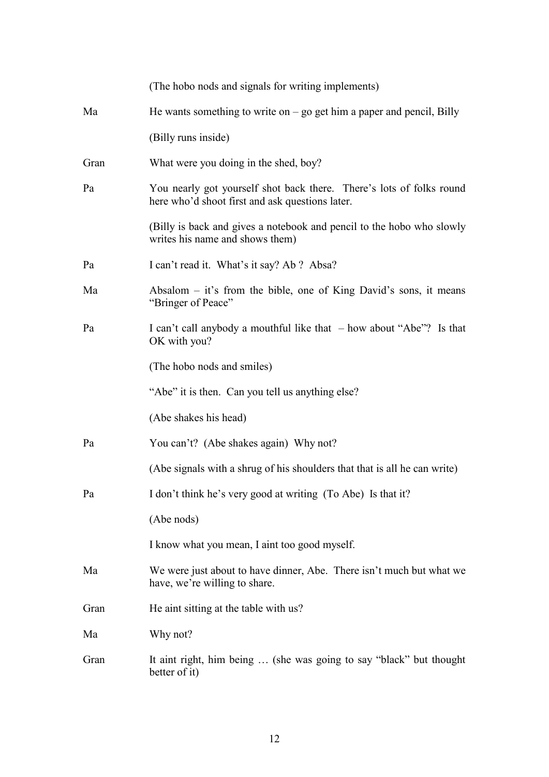|      | (The hobo nods and signals for writing implements)                                                                      |
|------|-------------------------------------------------------------------------------------------------------------------------|
| Ma   | He wants something to write on $-$ go get him a paper and pencil, Billy                                                 |
|      | (Billy runs inside)                                                                                                     |
| Gran | What were you doing in the shed, boy?                                                                                   |
| Pa   | You nearly got yourself shot back there. There's lots of folks round<br>here who'd shoot first and ask questions later. |
|      | (Billy is back and gives a notebook and pencil to the hobo who slowly<br>writes his name and shows them)                |
| Pa   | I can't read it. What's it say? Ab ? Absa?                                                                              |
| Ma   | Absalom $-$ it's from the bible, one of King David's sons, it means<br>"Bringer of Peace"                               |
| Pa   | I can't call anybody a mouthful like that $-$ how about "Abe"? Is that<br>OK with you?                                  |
|      | (The hobo nods and smiles)                                                                                              |
|      | "Abe" it is then. Can you tell us anything else?                                                                        |
|      | (Abe shakes his head)                                                                                                   |
| Pa   | You can't? (Abe shakes again) Why not?                                                                                  |
|      | (Abe signals with a shrug of his shoulders that that is all he can write)                                               |
| Pa   | I don't think he's very good at writing (To Abe) Is that it?                                                            |
|      | (Abe nods)                                                                                                              |
|      | I know what you mean, I aint too good myself.                                                                           |
| Ma   | We were just about to have dinner, Abe. There isn't much but what we<br>have, we're willing to share.                   |
| Gran | He aint sitting at the table with us?                                                                                   |
| Ma   | Why not?                                                                                                                |
| Gran | It aint right, him being  (she was going to say "black" but thought<br>better of it)                                    |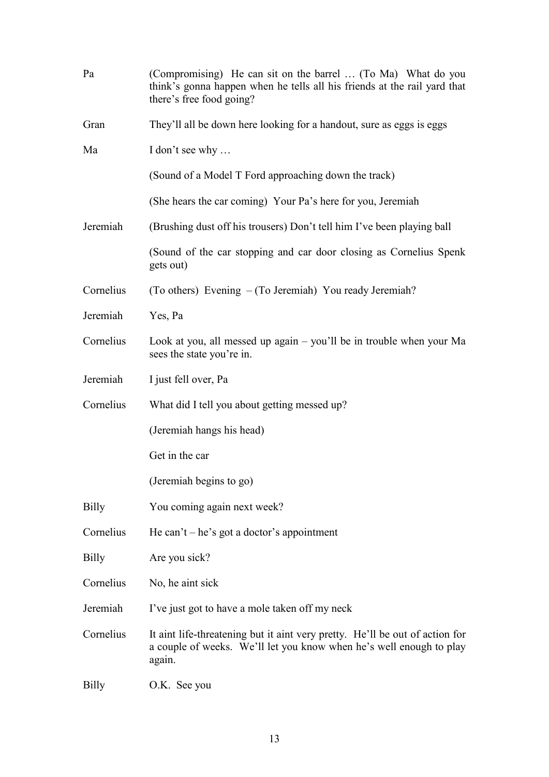| Pa           | (Compromising) He can sit on the barrel  (To Ma) What do you<br>think's gonna happen when he tells all his friends at the rail yard that<br>there's free food going? |
|--------------|----------------------------------------------------------------------------------------------------------------------------------------------------------------------|
| Gran         | They'll all be down here looking for a handout, sure as eggs is eggs                                                                                                 |
| Ma           | I don't see why                                                                                                                                                      |
|              | (Sound of a Model T Ford approaching down the track)                                                                                                                 |
|              | (She hears the car coming) Your Pa's here for you, Jeremiah                                                                                                          |
| Jeremiah     | (Brushing dust off his trousers) Don't tell him I've been playing ball                                                                                               |
|              | (Sound of the car stopping and car door closing as Cornelius Spenk<br>gets out)                                                                                      |
| Cornelius    | (To others) Evening - (To Jeremiah) You ready Jeremiah?                                                                                                              |
| Jeremiah     | Yes, Pa                                                                                                                                                              |
| Cornelius    | Look at you, all messed up again – you'll be in trouble when your Ma<br>sees the state you're in.                                                                    |
| Jeremiah     | I just fell over, Pa                                                                                                                                                 |
| Cornelius    | What did I tell you about getting messed up?                                                                                                                         |
|              | (Jeremiah hangs his head)                                                                                                                                            |
|              | Get in the car                                                                                                                                                       |
|              | (Jeremiah begins to go)                                                                                                                                              |
| <b>Billy</b> | You coming again next week?                                                                                                                                          |
| Cornelius    | He can't – he's got a doctor's appointment                                                                                                                           |
| <b>Billy</b> | Are you sick?                                                                                                                                                        |
| Cornelius    | No, he aint sick                                                                                                                                                     |
| Jeremiah     | I've just got to have a mole taken off my neck                                                                                                                       |
| Cornelius    | It aint life-threatening but it aint very pretty. He'll be out of action for<br>a couple of weeks. We'll let you know when he's well enough to play<br>again.        |
| Billy        | O.K. See you                                                                                                                                                         |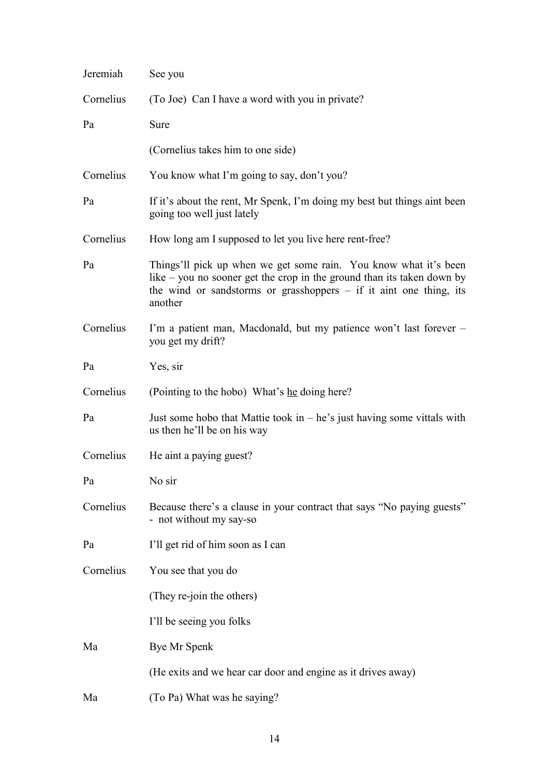| Jeremiah  | See you                                                                                                                                                                                                                         |
|-----------|---------------------------------------------------------------------------------------------------------------------------------------------------------------------------------------------------------------------------------|
| Cornelius | (To Joe) Can I have a word with you in private?                                                                                                                                                                                 |
| Pa        | Sure                                                                                                                                                                                                                            |
|           | (Cornelius takes him to one side)                                                                                                                                                                                               |
| Cornelius | You know what I'm going to say, don't you?                                                                                                                                                                                      |
| Pa        | If it's about the rent, Mr Spenk, I'm doing my best but things aint been<br>going too well just lately                                                                                                                          |
| Cornelius | How long am I supposed to let you live here rent-free?                                                                                                                                                                          |
| Pa        | Things'll pick up when we get some rain. You know what it's been<br>like $-$ you no sooner get the crop in the ground than its taken down by<br>the wind or sandstorms or grasshoppers $-$ if it aint one thing, its<br>another |
| Cornelius | I'm a patient man, Macdonald, but my patience won't last forever –<br>you get my drift?                                                                                                                                         |
| Pa        | Yes, sir                                                                                                                                                                                                                        |
| Cornelius | (Pointing to the hobo) What's <u>he</u> doing here?                                                                                                                                                                             |
| Pa        | Just some hobo that Mattie took in $-$ he's just having some vittals with<br>us then he'll be on his way                                                                                                                        |
| Cornelius | He aint a paying guest?                                                                                                                                                                                                         |
| Pa        | No sir                                                                                                                                                                                                                          |
| Cornelius | Because there's a clause in your contract that says "No paying guests"<br>- not without my say-so                                                                                                                               |
| Pa        | I'll get rid of him soon as I can                                                                                                                                                                                               |
| Cornelius | You see that you do                                                                                                                                                                                                             |
|           | (They re-join the others)                                                                                                                                                                                                       |
|           | I'll be seeing you folks                                                                                                                                                                                                        |
| Ma        | Bye Mr Spenk                                                                                                                                                                                                                    |
|           | (He exits and we hear car door and engine as it drives away)                                                                                                                                                                    |
| Ma        | (To Pa) What was he saying?                                                                                                                                                                                                     |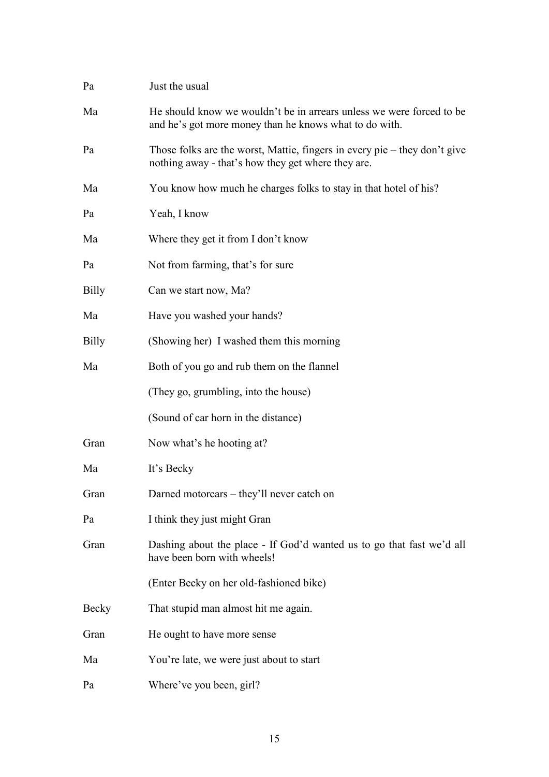| Pa           | Just the usual                                                                                                                  |
|--------------|---------------------------------------------------------------------------------------------------------------------------------|
| Ma           | He should know we wouldn't be in arrears unless we were forced to be<br>and he's got more money than he knows what to do with.  |
| Pa           | Those folks are the worst, Mattie, fingers in every pie – they don't give<br>nothing away - that's how they get where they are. |
| Ma           | You know how much he charges folks to stay in that hotel of his?                                                                |
| Pa           | Yeah, I know                                                                                                                    |
| Ma           | Where they get it from I don't know                                                                                             |
| Pa           | Not from farming, that's for sure                                                                                               |
| <b>Billy</b> | Can we start now, Ma?                                                                                                           |
| Ma           | Have you washed your hands?                                                                                                     |
| <b>Billy</b> | (Showing her) I washed them this morning                                                                                        |
| Ma           | Both of you go and rub them on the flannel                                                                                      |
|              | (They go, grumbling, into the house)                                                                                            |
|              | (Sound of car horn in the distance)                                                                                             |
| Gran         | Now what's he hooting at?                                                                                                       |
| Ma           | It's Becky                                                                                                                      |
| Gran         | Darned motorcars – they'll never catch on                                                                                       |
| Pa           | I think they just might Gran                                                                                                    |
| Gran         | Dashing about the place - If God'd wanted us to go that fast we'd all<br>have been born with wheels!                            |
|              | (Enter Becky on her old-fashioned bike)                                                                                         |
| Becky        | That stupid man almost hit me again.                                                                                            |
| Gran         | He ought to have more sense                                                                                                     |
| Ma           | You're late, we were just about to start                                                                                        |
| Pa           | Where've you been, girl?                                                                                                        |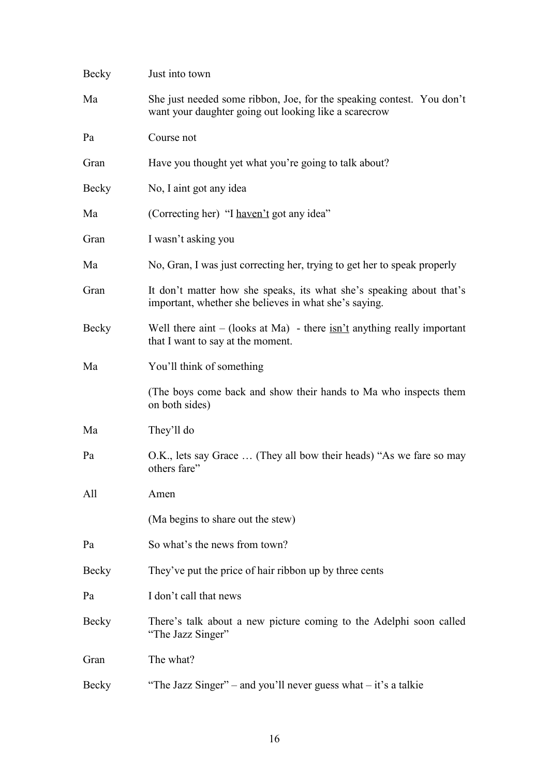| Becky        | Just into town                                                                                                                 |
|--------------|--------------------------------------------------------------------------------------------------------------------------------|
| Ma           | She just needed some ribbon, Joe, for the speaking contest. You don't<br>want your daughter going out looking like a scarecrow |
| Pa           | Course not                                                                                                                     |
| Gran         | Have you thought yet what you're going to talk about?                                                                          |
| Becky        | No, I aint got any idea                                                                                                        |
| Ma           | (Correcting her) "I haven't got any idea"                                                                                      |
| Gran         | I wasn't asking you                                                                                                            |
| Ma           | No, Gran, I was just correcting her, trying to get her to speak properly                                                       |
| Gran         | It don't matter how she speaks, its what she's speaking about that's<br>important, whether she believes in what she's saying.  |
| Becky        | Well there aint $-$ (looks at Ma) - there isn't anything really important<br>that I want to say at the moment.                 |
| Ma           | You'll think of something                                                                                                      |
|              | (The boys come back and show their hands to Ma who inspects them<br>on both sides)                                             |
| Ma           | They'll do                                                                                                                     |
| Pa           | O.K., lets say Grace  (They all bow their heads) "As we fare so may<br>others fare"                                            |
| All          | Amen                                                                                                                           |
|              | (Ma begins to share out the stew)                                                                                              |
| Pa           | So what's the news from town?                                                                                                  |
| Becky        | They've put the price of hair ribbon up by three cents                                                                         |
| Pa           | I don't call that news                                                                                                         |
| Becky        | There's talk about a new picture coming to the Adelphi soon called<br>"The Jazz Singer"                                        |
| Gran         | The what?                                                                                                                      |
| <b>Becky</b> | "The Jazz Singer" – and you'll never guess what – it's a talkie                                                                |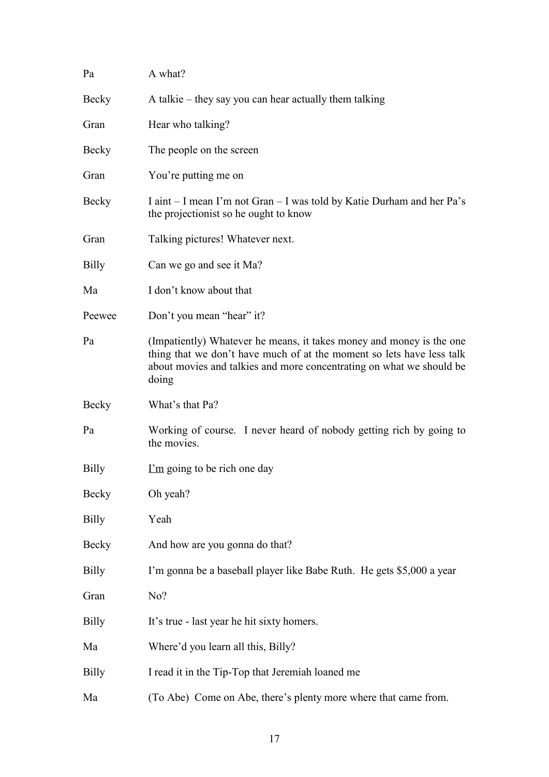| Pa           | A what?                                                                                                                                                                                                                        |
|--------------|--------------------------------------------------------------------------------------------------------------------------------------------------------------------------------------------------------------------------------|
| Becky        | A talkie $-$ they say you can hear actually them talking                                                                                                                                                                       |
| Gran         | Hear who talking?                                                                                                                                                                                                              |
| Becky        | The people on the screen                                                                                                                                                                                                       |
| Gran         | You're putting me on                                                                                                                                                                                                           |
| Becky        | I aint – I mean I'm not Gran – I was told by Katie Durham and her Pa's<br>the projectionist so he ought to know                                                                                                                |
| Gran         | Talking pictures! Whatever next.                                                                                                                                                                                               |
| Billy        | Can we go and see it Ma?                                                                                                                                                                                                       |
| Ma           | I don't know about that                                                                                                                                                                                                        |
| Peewee       | Don't you mean "hear" it?                                                                                                                                                                                                      |
| Pa           | (Impatiently) Whatever he means, it takes money and money is the one<br>thing that we don't have much of at the moment so lets have less talk<br>about movies and talkies and more concentrating on what we should be<br>doing |
| Becky        | What's that Pa?                                                                                                                                                                                                                |
| Pa           | Working of course. I never heard of nobody getting rich by going to<br>the movies.                                                                                                                                             |
| <b>Billy</b> | I'm going to be rich one day                                                                                                                                                                                                   |
| <b>Becky</b> | Oh yeah?                                                                                                                                                                                                                       |
| <b>Billy</b> | Yeah                                                                                                                                                                                                                           |
| Becky        | And how are you gonna do that?                                                                                                                                                                                                 |
| Billy        | I'm gonna be a baseball player like Babe Ruth. He gets \$5,000 a year                                                                                                                                                          |
| Gran         | No?                                                                                                                                                                                                                            |
| Billy        | It's true - last year he hit sixty homers.                                                                                                                                                                                     |
| Ma           | Where'd you learn all this, Billy?                                                                                                                                                                                             |
| <b>Billy</b> | I read it in the Tip-Top that Jeremiah loaned me                                                                                                                                                                               |
| Ma           | (To Abe) Come on Abe, there's plenty more where that came from.                                                                                                                                                                |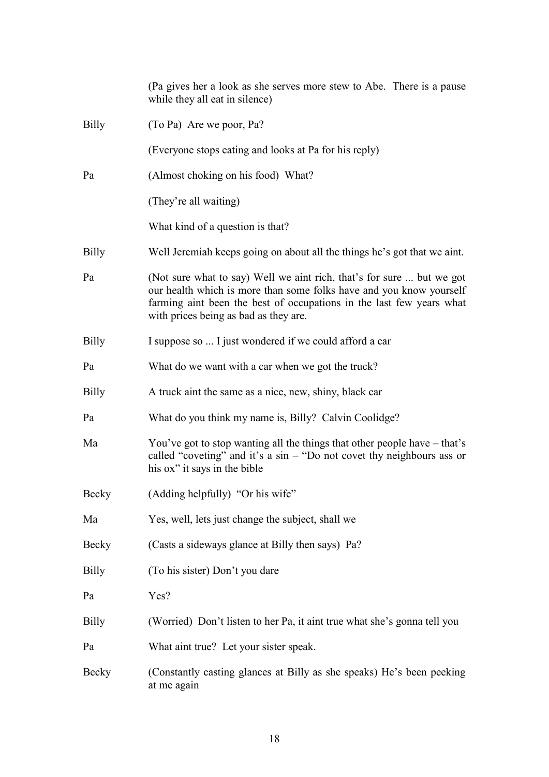|              | (Pa gives her a look as she serves more stew to Abe. There is a pause<br>while they all eat in silence)                                                                                                                                                       |
|--------------|---------------------------------------------------------------------------------------------------------------------------------------------------------------------------------------------------------------------------------------------------------------|
| <b>Billy</b> | (To Pa) Are we poor, Pa?                                                                                                                                                                                                                                      |
|              | (Everyone stops eating and looks at Pa for his reply)                                                                                                                                                                                                         |
| Pa           | (Almost choking on his food) What?                                                                                                                                                                                                                            |
|              | (They're all waiting)                                                                                                                                                                                                                                         |
|              | What kind of a question is that?                                                                                                                                                                                                                              |
| Billy        | Well Jeremiah keeps going on about all the things he's got that we aint.                                                                                                                                                                                      |
| Pa           | (Not sure what to say) Well we aint rich, that's for sure  but we got<br>our health which is more than some folks have and you know yourself<br>farming aint been the best of occupations in the last few years what<br>with prices being as bad as they are. |
| <b>Billy</b> | I suppose so  I just wondered if we could afford a car                                                                                                                                                                                                        |
| Pa           | What do we want with a car when we got the truck?                                                                                                                                                                                                             |
| Billy        | A truck aint the same as a nice, new, shiny, black car                                                                                                                                                                                                        |
| Pa           | What do you think my name is, Billy? Calvin Coolidge?                                                                                                                                                                                                         |
| Ma           | You've got to stop wanting all the things that other people have – that's<br>called "coveting" and it's a $sin -$ "Do not covet thy neighbours ass or<br>his ox" it says in the bible                                                                         |
| <b>Becky</b> | (Adding helpfully) "Or his wife"                                                                                                                                                                                                                              |
| Ma           | Yes, well, lets just change the subject, shall we                                                                                                                                                                                                             |
| Becky        | (Casts a sideways glance at Billy then says) Pa?                                                                                                                                                                                                              |
| <b>Billy</b> | (To his sister) Don't you dare                                                                                                                                                                                                                                |
| Pa           | Yes?                                                                                                                                                                                                                                                          |
| Billy        | (Worried) Don't listen to her Pa, it aint true what she's gonna tell you                                                                                                                                                                                      |
| Pa           | What aint true? Let your sister speak.                                                                                                                                                                                                                        |
| Becky        | (Constantly casting glances at Billy as she speaks) He's been peeking<br>at me again                                                                                                                                                                          |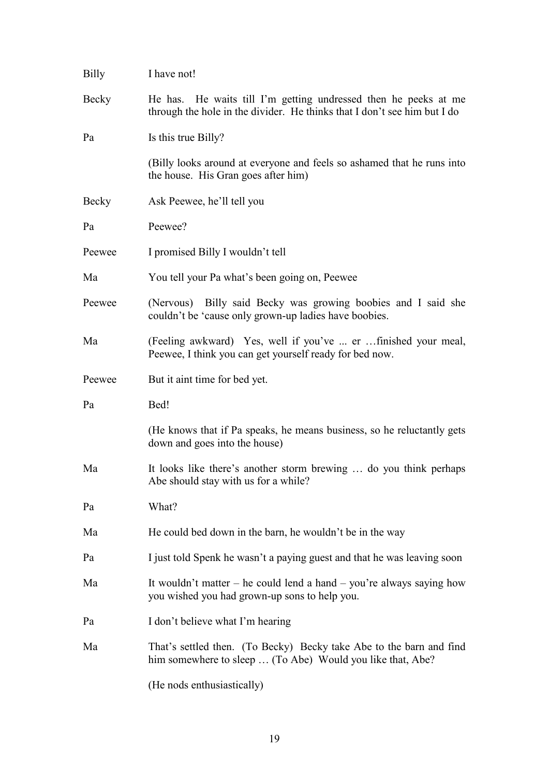| <b>Billy</b> | I have not!                                                                                                                                 |
|--------------|---------------------------------------------------------------------------------------------------------------------------------------------|
| <b>Becky</b> | He has. He waits till I'm getting undressed then he peeks at me<br>through the hole in the divider. He thinks that I don't see him but I do |
| Pa           | Is this true Billy?                                                                                                                         |
|              | (Billy looks around at everyone and feels so ashamed that he runs into<br>the house. His Gran goes after him)                               |
| Becky        | Ask Peewee, he'll tell you                                                                                                                  |
| Pa           | Peewee?                                                                                                                                     |
| Peewee       | I promised Billy I wouldn't tell                                                                                                            |
| Ma           | You tell your Pa what's been going on, Peewee                                                                                               |
| Peewee       | (Nervous) Billy said Becky was growing boobies and I said she<br>couldn't be 'cause only grown-up ladies have boobies.                      |
| Ma           | (Feeling awkward) Yes, well if you've  er  finished your meal,<br>Peewee, I think you can get yourself ready for bed now.                   |
| Peewee       | But it aint time for bed yet.                                                                                                               |
| Pa           | Bed!                                                                                                                                        |
|              | (He knows that if Pa speaks, he means business, so he reluctantly gets<br>down and goes into the house)                                     |
| Ma           | It looks like there's another storm brewing  do you think perhaps<br>Abe should stay with us for a while?                                   |
| Pa           | What?                                                                                                                                       |
| Ma           | He could bed down in the barn, he wouldn't be in the way                                                                                    |
| Pa           | I just told Spenk he wasn't a paying guest and that he was leaving soon                                                                     |
| Ma           | It wouldn't matter – he could lend a hand – you're always saying how<br>you wished you had grown-up sons to help you.                       |
| Pa           | I don't believe what I'm hearing                                                                                                            |
| Ma           | That's settled then. (To Becky) Becky take Abe to the barn and find<br>him somewhere to sleep  (To Abe) Would you like that, Abe?           |
|              | (He nods enthusiastically)                                                                                                                  |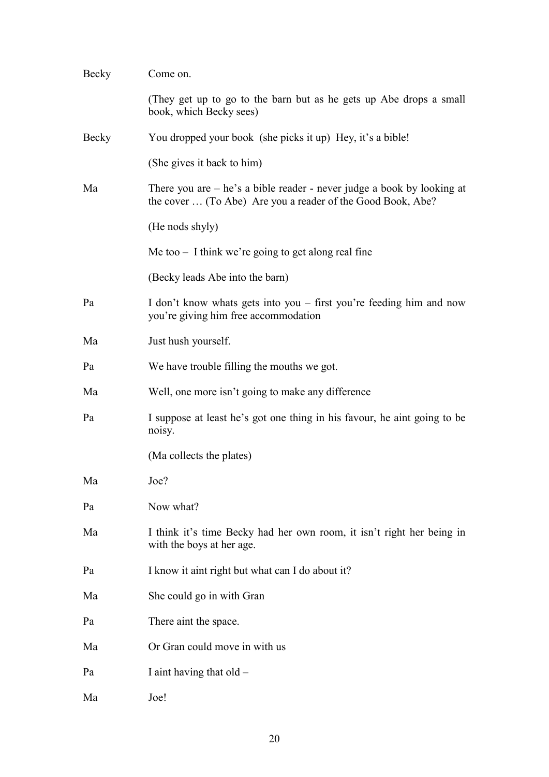| Becky | Come on.                                                                                                                                |
|-------|-----------------------------------------------------------------------------------------------------------------------------------------|
|       | (They get up to go to the barn but as he gets up Abe drops a small<br>book, which Becky sees)                                           |
| Becky | You dropped your book (she picks it up) Hey, it's a bible!                                                                              |
|       | (She gives it back to him)                                                                                                              |
| Ma    | There you are $-$ he's a bible reader - never judge a book by looking at<br>the cover  (To Abe) Are you a reader of the Good Book, Abe? |
|       | (He nods shyly)                                                                                                                         |
|       | Me too $-$ I think we're going to get along real fine                                                                                   |
|       | (Becky leads Abe into the barn)                                                                                                         |
| Pa    | I don't know whats gets into you – first you're feeding him and now<br>you're giving him free accommodation                             |
| Ma    | Just hush yourself.                                                                                                                     |
| Pa    | We have trouble filling the mouths we got.                                                                                              |
| Ma    | Well, one more isn't going to make any difference                                                                                       |
| Pa    | I suppose at least he's got one thing in his favour, he aint going to be<br>noisy.                                                      |
|       | (Ma collects the plates)                                                                                                                |
| Ma    | Joe?                                                                                                                                    |
| Pa    | Now what?                                                                                                                               |
| Ma    | I think it's time Becky had her own room, it isn't right her being in<br>with the boys at her age.                                      |
| Pa    | I know it aint right but what can I do about it?                                                                                        |
| Ma    | She could go in with Gran                                                                                                               |
| Pa    | There aint the space.                                                                                                                   |
| Ma    | Or Gran could move in with us                                                                                                           |
| Pa    | I aint having that $old$ –                                                                                                              |
| Ma    | Joe!                                                                                                                                    |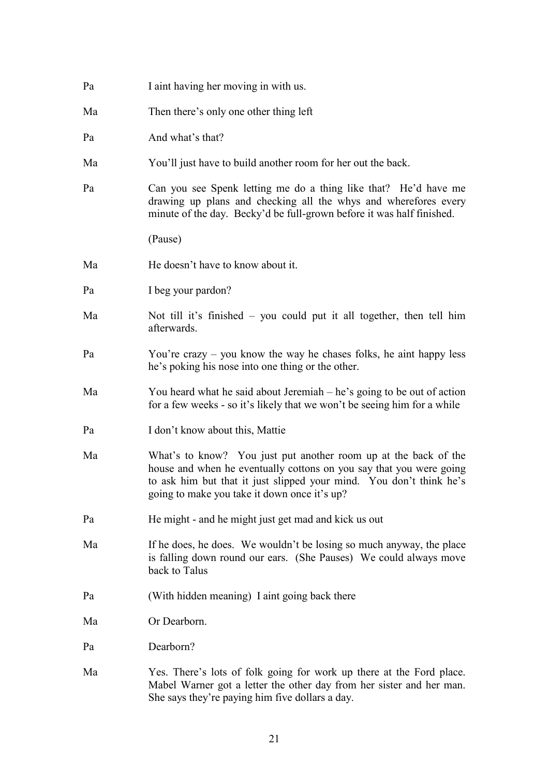| Pa | I aint having her moving in with us.                                                                                                                                                                                                                          |  |
|----|---------------------------------------------------------------------------------------------------------------------------------------------------------------------------------------------------------------------------------------------------------------|--|
| Ma | Then there's only one other thing left                                                                                                                                                                                                                        |  |
| Pa | And what's that?                                                                                                                                                                                                                                              |  |
| Ma | You'll just have to build another room for her out the back.                                                                                                                                                                                                  |  |
| Pa | Can you see Spenk letting me do a thing like that? He'd have me<br>drawing up plans and checking all the whys and wherefores every<br>minute of the day. Becky'd be full-grown before it was half finished.                                                   |  |
|    | (Pause)                                                                                                                                                                                                                                                       |  |
| Ma | He doesn't have to know about it.                                                                                                                                                                                                                             |  |
| Pa | I beg your pardon?                                                                                                                                                                                                                                            |  |
| Ma | Not till it's finished $-$ you could put it all together, then tell him<br>afterwards.                                                                                                                                                                        |  |
| Pa | You're crazy $-$ you know the way he chases folks, he aint happy less<br>he's poking his nose into one thing or the other.                                                                                                                                    |  |
| Ma | You heard what he said about Jeremiah $-$ he's going to be out of action<br>for a few weeks - so it's likely that we won't be seeing him for a while                                                                                                          |  |
| Pa | I don't know about this, Mattie                                                                                                                                                                                                                               |  |
| Ma | What's to know? You just put another room up at the back of the<br>house and when he eventually cottons on you say that you were going<br>to ask him but that it just slipped your mind. You don't think he's<br>going to make you take it down once it's up? |  |
| Pa | He might - and he might just get mad and kick us out                                                                                                                                                                                                          |  |
| Ma | If he does, he does. We wouldn't be losing so much anyway, the place<br>is falling down round our ears. (She Pauses) We could always move<br>back to Talus                                                                                                    |  |
| Pa | (With hidden meaning) I aint going back there                                                                                                                                                                                                                 |  |
| Ma | Or Dearborn.                                                                                                                                                                                                                                                  |  |
| Pa | Dearborn?                                                                                                                                                                                                                                                     |  |
| Ma | Yes. There's lots of folk going for work up there at the Ford place.<br>Mabel Warner got a letter the other day from her sister and her man.                                                                                                                  |  |

She says they're paying him five dollars a day.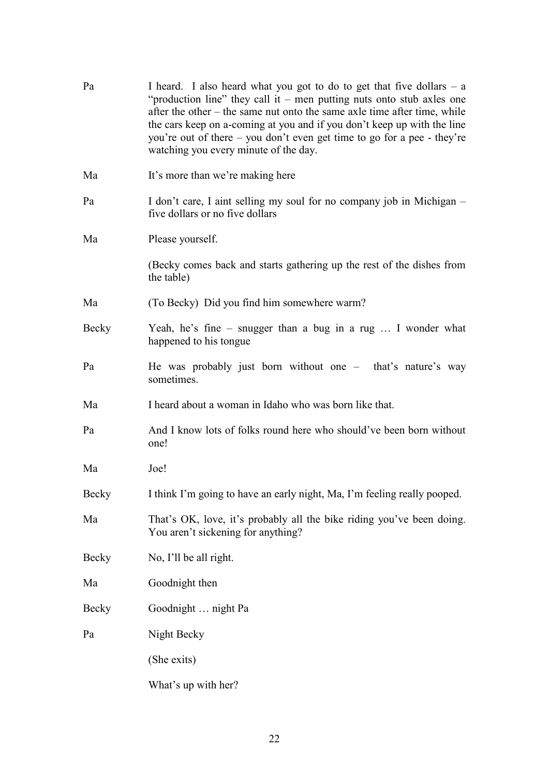| Pa           | I heard. I also heard what you got to do to get that five dollars $-$ a<br>"production line" they call it – men putting nuts onto stub axles one<br>after the other – the same nut onto the same axle time after time, while<br>the cars keep on a-coming at you and if you don't keep up with the line<br>you're out of there – you don't even get time to go for a pee - they're<br>watching you every minute of the day. |
|--------------|-----------------------------------------------------------------------------------------------------------------------------------------------------------------------------------------------------------------------------------------------------------------------------------------------------------------------------------------------------------------------------------------------------------------------------|
| Ma           | It's more than we're making here                                                                                                                                                                                                                                                                                                                                                                                            |
| Pa           | I don't care, I aint selling my soul for no company job in Michigan –<br>five dollars or no five dollars                                                                                                                                                                                                                                                                                                                    |
| Ma           | Please yourself.                                                                                                                                                                                                                                                                                                                                                                                                            |
|              | (Becky comes back and starts gathering up the rest of the dishes from<br>the table)                                                                                                                                                                                                                                                                                                                                         |
| Ma           | (To Becky) Did you find him somewhere warm?                                                                                                                                                                                                                                                                                                                                                                                 |
| Becky        | Yeah, he's fine – snugger than a bug in a rug $\ldots$ I wonder what<br>happened to his tongue                                                                                                                                                                                                                                                                                                                              |
| Pa           | He was probably just born without one - that's nature's way<br>sometimes.                                                                                                                                                                                                                                                                                                                                                   |
| Ma           | I heard about a woman in Idaho who was born like that.                                                                                                                                                                                                                                                                                                                                                                      |
| Pa           | And I know lots of folks round here who should've been born without<br>one!                                                                                                                                                                                                                                                                                                                                                 |
| Ma           | Joe!                                                                                                                                                                                                                                                                                                                                                                                                                        |
| Becky        | I think I'm going to have an early night, Ma, I'm feeling really pooped.                                                                                                                                                                                                                                                                                                                                                    |
| Ma           | That's OK, love, it's probably all the bike riding you've been doing.<br>You aren't sickening for anything?                                                                                                                                                                                                                                                                                                                 |
| <b>Becky</b> | No, I'll be all right.                                                                                                                                                                                                                                                                                                                                                                                                      |
| Ma           | Goodnight then                                                                                                                                                                                                                                                                                                                                                                                                              |
| <b>Becky</b> | Goodnight  night Pa                                                                                                                                                                                                                                                                                                                                                                                                         |
| Pa           | Night Becky                                                                                                                                                                                                                                                                                                                                                                                                                 |
|              | (She exits)                                                                                                                                                                                                                                                                                                                                                                                                                 |
|              | What's up with her?                                                                                                                                                                                                                                                                                                                                                                                                         |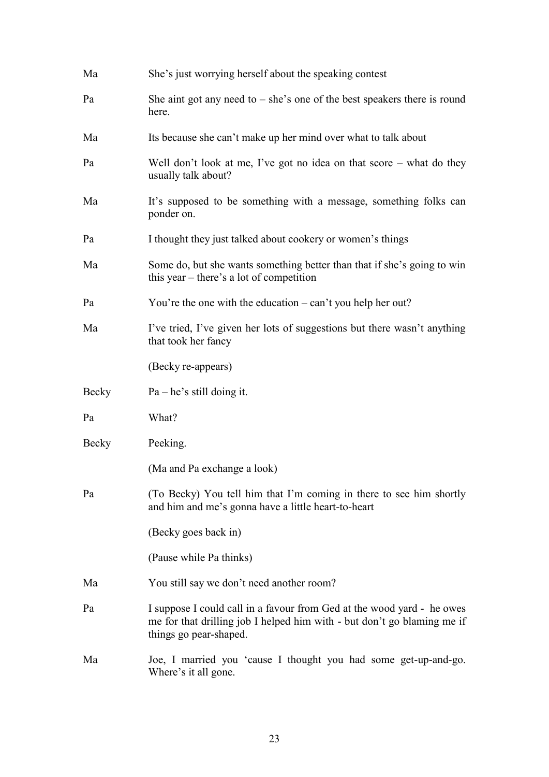| Ma    | She's just worrying herself about the speaking contest                                                                                                                      |
|-------|-----------------------------------------------------------------------------------------------------------------------------------------------------------------------------|
| Pa    | She aint got any need to $-$ she's one of the best speakers there is round<br>here.                                                                                         |
| Ma    | Its because she can't make up her mind over what to talk about                                                                                                              |
| Pa    | Well don't look at me, I've got no idea on that score $-$ what do they<br>usually talk about?                                                                               |
| Ma    | It's supposed to be something with a message, something folks can<br>ponder on.                                                                                             |
| Pa    | I thought they just talked about cookery or women's things                                                                                                                  |
| Ma    | Some do, but she wants something better than that if she's going to win<br>this year – there's a lot of competition                                                         |
| Pa    | You're the one with the education $-\text{can't you help her out?}$                                                                                                         |
| Ma    | I've tried, I've given her lots of suggestions but there wasn't anything<br>that took her fancy                                                                             |
|       | (Becky re-appears)                                                                                                                                                          |
| Becky | $Pa - he's still doing it.$                                                                                                                                                 |
| Pa    | What?                                                                                                                                                                       |
| Becky | Peeking.                                                                                                                                                                    |
|       | (Ma and Pa exchange a look)                                                                                                                                                 |
| Pa    | (To Becky) You tell him that I'm coming in there to see him shortly<br>and him and me's gonna have a little heart-to-heart                                                  |
|       | (Becky goes back in)                                                                                                                                                        |
|       | (Pause while Pa thinks)                                                                                                                                                     |
| Ma    | You still say we don't need another room?                                                                                                                                   |
| Pa    | I suppose I could call in a favour from Ged at the wood yard - he owes<br>me for that drilling job I helped him with - but don't go blaming me if<br>things go pear-shaped. |
| Ma    | Joe, I married you 'cause I thought you had some get-up-and-go.<br>Where's it all gone.                                                                                     |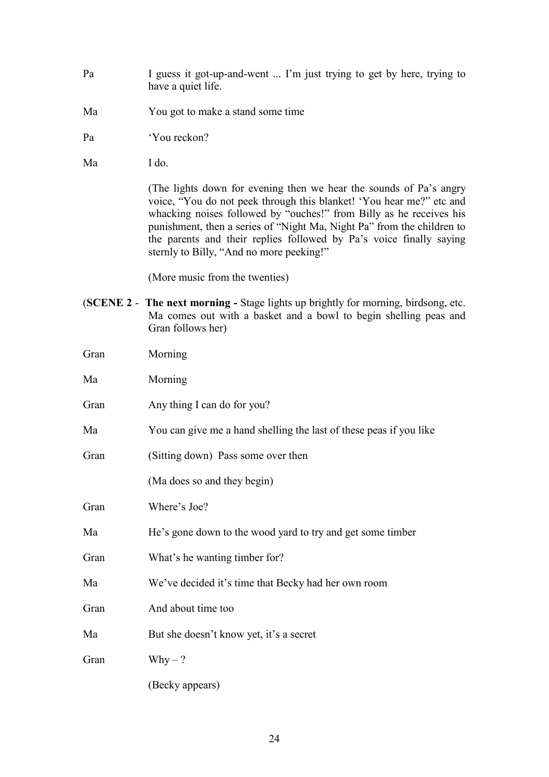- Pa I guess it got-up-and-went ... I'm just trying to get by here, trying to have a quiet life.
- Ma You got to make a stand some time
- Pa 'You reckon?
- Ma I do.

(The lights down for evening then we hear the sounds of Pa's angry voice, "You do not peek through this blanket! 'You hear me?" etc and whacking noises followed by "ouches!" from Billy as he receives his punishment, then a series of "Night Ma, Night Pa" from the children to the parents and their replies followed by Pa's voice finally saying sternly to Billy, "And no more peeking!"

(More music from the twenties)

(**SCENE 2** - **The next morning -** Stage lights up brightly for morning, birdsong, etc. Ma comes out with a basket and a bowl to begin shelling peas and Gran follows her)

| Gran | Morning                                                            |
|------|--------------------------------------------------------------------|
| Ma   | Morning                                                            |
| Gran | Any thing I can do for you?                                        |
| Ma   | You can give me a hand shelling the last of these peas if you like |
| Gran | (Sitting down) Pass some over then                                 |
|      | (Ma does so and they begin)                                        |
| Gran | Where's Joe?                                                       |
| Ma   | He's gone down to the wood yard to try and get some timber         |
| Gran | What's he wanting timber for?                                      |
| Ma   | We've decided it's time that Becky had her own room                |
| Gran | And about time too                                                 |
| Ma   | But she doesn't know yet, it's a secret                            |
| Gran | $Why - ?$                                                          |
|      | (Becky appears)                                                    |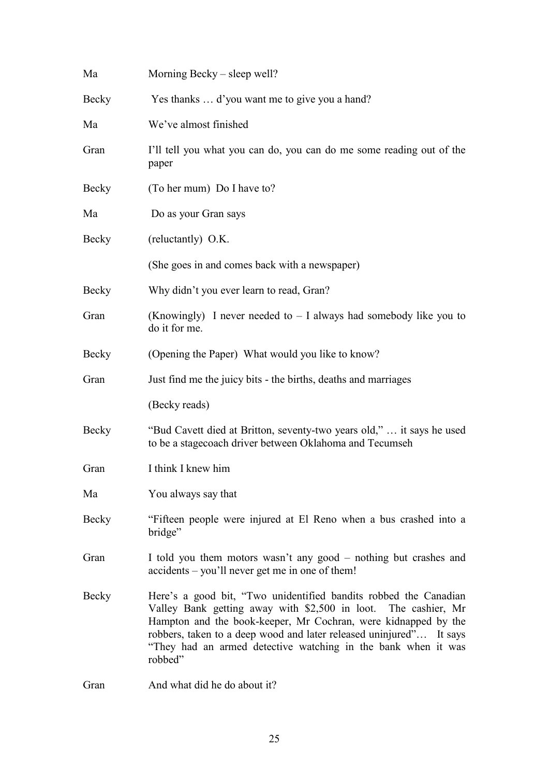| Ma           | Morning Becky – sleep well?                                                                                                                                                                                                                                                                                                                             |
|--------------|---------------------------------------------------------------------------------------------------------------------------------------------------------------------------------------------------------------------------------------------------------------------------------------------------------------------------------------------------------|
| Becky        | Yes thanks  d'you want me to give you a hand?                                                                                                                                                                                                                                                                                                           |
| Ma           | We've almost finished                                                                                                                                                                                                                                                                                                                                   |
| Gran         | I'll tell you what you can do, you can do me some reading out of the<br>paper                                                                                                                                                                                                                                                                           |
| Becky        | (To her mum) Do I have to?                                                                                                                                                                                                                                                                                                                              |
| Ma           | Do as your Gran says                                                                                                                                                                                                                                                                                                                                    |
| Becky        | (reluctantly) O.K.                                                                                                                                                                                                                                                                                                                                      |
|              | (She goes in and comes back with a newspaper)                                                                                                                                                                                                                                                                                                           |
| Becky        | Why didn't you ever learn to read, Gran?                                                                                                                                                                                                                                                                                                                |
| Gran         | (Knowingly) I never needed to $-$ I always had somebody like you to<br>do it for me.                                                                                                                                                                                                                                                                    |
| Becky        | (Opening the Paper) What would you like to know?                                                                                                                                                                                                                                                                                                        |
| Gran         | Just find me the juicy bits - the births, deaths and marriages                                                                                                                                                                                                                                                                                          |
|              | (Becky reads)                                                                                                                                                                                                                                                                                                                                           |
| <b>Becky</b> | "Bud Cavett died at Britton, seventy-two years old,"  it says he used<br>to be a stagecoach driver between Oklahoma and Tecumseh                                                                                                                                                                                                                        |
| Gran         | I think I knew him                                                                                                                                                                                                                                                                                                                                      |
| Ma           | You always say that                                                                                                                                                                                                                                                                                                                                     |
| Becky        | "Fifteen people were injured at El Reno when a bus crashed into a<br>bridge"                                                                                                                                                                                                                                                                            |
| Gran         | I told you them motors wasn't any good – nothing but crashes and<br>accidents – you'll never get me in one of them!                                                                                                                                                                                                                                     |
| Becky        | Here's a good bit, "Two unidentified bandits robbed the Canadian<br>Valley Bank getting away with \$2,500 in loot. The cashier, Mr<br>Hampton and the book-keeper, Mr Cochran, were kidnapped by the<br>robbers, taken to a deep wood and later released uninjured" It says<br>"They had an armed detective watching in the bank when it was<br>robbed" |
| Gran         | And what did he do about it?                                                                                                                                                                                                                                                                                                                            |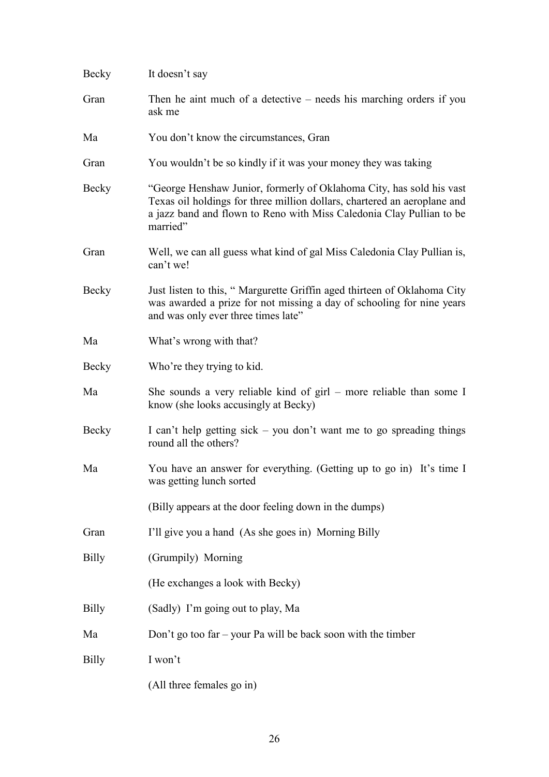| Becky        | It doesn't say                                                                                                                                                                                                                       |
|--------------|--------------------------------------------------------------------------------------------------------------------------------------------------------------------------------------------------------------------------------------|
| Gran         | Then he aint much of a detective $-$ needs his marching orders if you<br>ask me                                                                                                                                                      |
| Ma           | You don't know the circumstances, Gran                                                                                                                                                                                               |
| Gran         | You wouldn't be so kindly if it was your money they was taking                                                                                                                                                                       |
| <b>Becky</b> | "George Henshaw Junior, formerly of Oklahoma City, has sold his vast<br>Texas oil holdings for three million dollars, chartered an aeroplane and<br>a jazz band and flown to Reno with Miss Caledonia Clay Pullian to be<br>married" |
| Gran         | Well, we can all guess what kind of gal Miss Caledonia Clay Pullian is,<br>can't we!                                                                                                                                                 |
| Becky        | Just listen to this, "Margurette Griffin aged thirteen of Oklahoma City<br>was awarded a prize for not missing a day of schooling for nine years<br>and was only ever three times late"                                              |
| Ma           | What's wrong with that?                                                                                                                                                                                                              |
| Becky        | Who're they trying to kid.                                                                                                                                                                                                           |
| Ma           | She sounds a very reliable kind of $girl$ – more reliable than some I<br>know (she looks accusingly at Becky)                                                                                                                        |
| Becky        | I can't help getting sick – you don't want me to go spreading things<br>round all the others?                                                                                                                                        |
| Ma           | You have an answer for everything. (Getting up to go in) It's time I<br>was getting lunch sorted                                                                                                                                     |
|              | (Billy appears at the door feeling down in the dumps)                                                                                                                                                                                |
| Gran         | I'll give you a hand (As she goes in) Morning Billy                                                                                                                                                                                  |
| <b>Billy</b> | (Grumpily) Morning                                                                                                                                                                                                                   |
|              | (He exchanges a look with Becky)                                                                                                                                                                                                     |
| <b>Billy</b> | (Sadly) I'm going out to play, Ma                                                                                                                                                                                                    |
| Ma           | Don't go too far – your Pa will be back soon with the timber                                                                                                                                                                         |
| <b>Billy</b> | I won't                                                                                                                                                                                                                              |
|              | (All three females go in)                                                                                                                                                                                                            |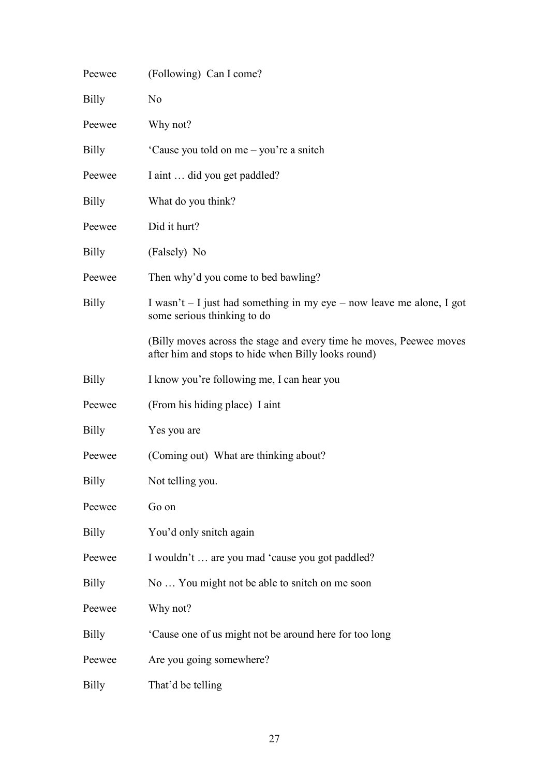| Peewee       | (Following) Can I come?                                                                                                    |
|--------------|----------------------------------------------------------------------------------------------------------------------------|
| Billy        | N <sub>o</sub>                                                                                                             |
| Peewee       | Why not?                                                                                                                   |
| Billy        | 'Cause you told on me – you're a snitch                                                                                    |
| Peewee       | I aint  did you get paddled?                                                                                               |
| <b>Billy</b> | What do you think?                                                                                                         |
| Peewee       | Did it hurt?                                                                                                               |
| Billy        | (Falsely) No                                                                                                               |
| Peewee       | Then why'd you come to bed bawling?                                                                                        |
| <b>Billy</b> | I wasn't $-$ I just had something in my eye $-$ now leave me alone, I got<br>some serious thinking to do                   |
|              | (Billy moves across the stage and every time he moves, Peewee moves<br>after him and stops to hide when Billy looks round) |
| <b>Billy</b> | I know you're following me, I can hear you                                                                                 |
| Peewee       | (From his hiding place) I aint                                                                                             |
| <b>Billy</b> | Yes you are                                                                                                                |
| Peewee       | (Coming out) What are thinking about?                                                                                      |
| <b>Billy</b> | Not telling you.                                                                                                           |
| Peewee       | Go on                                                                                                                      |
| <b>Billy</b> | You'd only snitch again                                                                                                    |
| Peewee       | I wouldn't  are you mad 'cause you got paddled?                                                                            |
| <b>Billy</b> | No  You might not be able to snitch on me soon                                                                             |
| Peewee       | Why not?                                                                                                                   |
| Billy        | Cause one of us might not be around here for too long                                                                      |
| Peewee       | Are you going somewhere?                                                                                                   |
| <b>Billy</b> | That'd be telling                                                                                                          |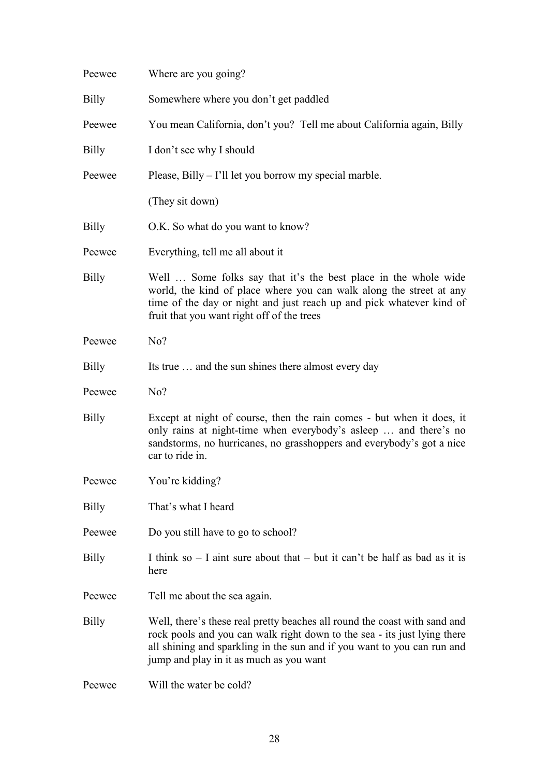| Peewee       | Where are you going?                                                                                                                                                                                                                                                        |
|--------------|-----------------------------------------------------------------------------------------------------------------------------------------------------------------------------------------------------------------------------------------------------------------------------|
| Billy        | Somewhere where you don't get paddled                                                                                                                                                                                                                                       |
| Peewee       | You mean California, don't you? Tell me about California again, Billy                                                                                                                                                                                                       |
| Billy        | I don't see why I should                                                                                                                                                                                                                                                    |
| Peewee       | Please, Billy – I'll let you borrow my special marble.                                                                                                                                                                                                                      |
|              | (They sit down)                                                                                                                                                                                                                                                             |
| Billy        | O.K. So what do you want to know?                                                                                                                                                                                                                                           |
| Peewee       | Everything, tell me all about it                                                                                                                                                                                                                                            |
| <b>Billy</b> | Well  Some folks say that it's the best place in the whole wide<br>world, the kind of place where you can walk along the street at any<br>time of the day or night and just reach up and pick whatever kind of<br>fruit that you want right off of the trees                |
| Peewee       | No?                                                                                                                                                                                                                                                                         |
| <b>Billy</b> | Its true  and the sun shines there almost every day                                                                                                                                                                                                                         |
| Peewee       | No?                                                                                                                                                                                                                                                                         |
| <b>Billy</b> | Except at night of course, then the rain comes - but when it does, it<br>only rains at night-time when everybody's asleep  and there's no<br>sandstorms, no hurricanes, no grasshoppers and everybody's got a nice<br>car to ride in.                                       |
| Peewee       | You're kidding?                                                                                                                                                                                                                                                             |
| <b>Billy</b> | That's what I heard                                                                                                                                                                                                                                                         |
| Peewee       | Do you still have to go to school?                                                                                                                                                                                                                                          |
| Billy        | I think so $-$ I aint sure about that $-$ but it can't be half as bad as it is<br>here                                                                                                                                                                                      |
| Peewee       | Tell me about the sea again.                                                                                                                                                                                                                                                |
| <b>Billy</b> | Well, there's these real pretty beaches all round the coast with sand and<br>rock pools and you can walk right down to the sea - its just lying there<br>all shining and sparkling in the sun and if you want to you can run and<br>jump and play in it as much as you want |
| Peewee       | Will the water be cold?                                                                                                                                                                                                                                                     |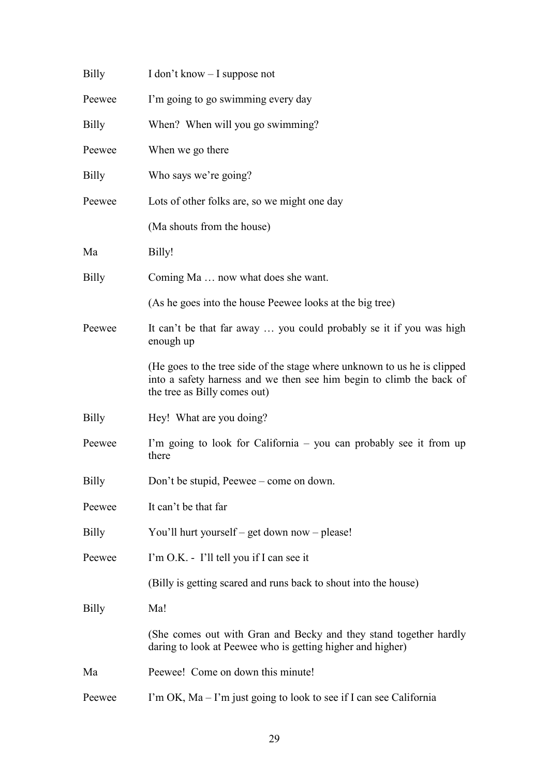| <b>Billy</b> | I don't know – I suppose not                                                                                                                                                     |
|--------------|----------------------------------------------------------------------------------------------------------------------------------------------------------------------------------|
| Peewee       | I'm going to go swimming every day                                                                                                                                               |
| <b>Billy</b> | When? When will you go swimming?                                                                                                                                                 |
| Peewee       | When we go there                                                                                                                                                                 |
| <b>Billy</b> | Who says we're going?                                                                                                                                                            |
| Peewee       | Lots of other folks are, so we might one day                                                                                                                                     |
|              | (Ma shouts from the house)                                                                                                                                                       |
| Ma           | Billy!                                                                                                                                                                           |
| <b>Billy</b> | Coming Ma  now what does she want.                                                                                                                                               |
|              | (As he goes into the house Peewee looks at the big tree)                                                                                                                         |
| Peewee       | It can't be that far away  you could probably se it if you was high<br>enough up                                                                                                 |
|              | (He goes to the tree side of the stage where unknown to us he is clipped<br>into a safety harness and we then see him begin to climb the back of<br>the tree as Billy comes out) |
| <b>Billy</b> | Hey! What are you doing?                                                                                                                                                         |
| Peewee       | I'm going to look for California - you can probably see it from up<br>there                                                                                                      |
| Billy        | Don't be stupid, Peewee – come on down                                                                                                                                           |
| Peewee       | It can't be that far                                                                                                                                                             |
| <b>Billy</b> | You'll hurt yourself - get down now - please!                                                                                                                                    |
| Peewee       | I'm O.K. - I'll tell you if I can see it                                                                                                                                         |
|              | (Billy is getting scared and runs back to shout into the house)                                                                                                                  |
| <b>Billy</b> | Ma!                                                                                                                                                                              |
|              | (She comes out with Gran and Becky and they stand together hardly<br>daring to look at Peewee who is getting higher and higher)                                                  |
| Ma           | Peewee! Come on down this minute!                                                                                                                                                |
| Peewee       | I'm OK, Ma – I'm just going to look to see if I can see California                                                                                                               |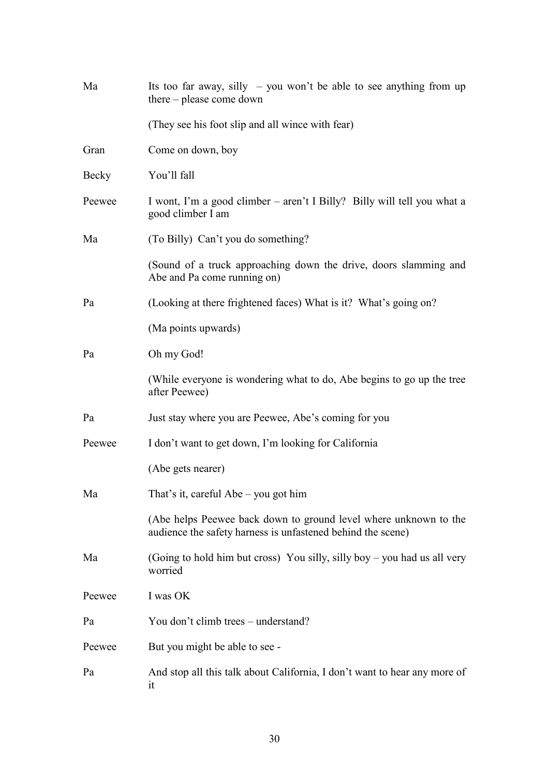| Ma     | Its too far away, silly $-$ you won't be able to see anything from up<br>there $-$ please come down                             |
|--------|---------------------------------------------------------------------------------------------------------------------------------|
|        | (They see his foot slip and all wince with fear)                                                                                |
| Gran   | Come on down, boy                                                                                                               |
| Becky  | You'll fall                                                                                                                     |
| Peewee | I wont, I'm a good climber – aren't I Billy? Billy will tell you what a<br>good climber I am                                    |
| Ma     | (To Billy) Can't you do something?                                                                                              |
|        | (Sound of a truck approaching down the drive, doors slamming and<br>Abe and Pa come running on)                                 |
| Pa     | (Looking at there frightened faces) What is it? What's going on?                                                                |
|        | (Ma points upwards)                                                                                                             |
| Pa     | Oh my God!                                                                                                                      |
|        | (While everyone is wondering what to do, Abe begins to go up the tree<br>after Peewee)                                          |
| Pa     | Just stay where you are Peewee, Abe's coming for you                                                                            |
| Peewee | I don't want to get down, I'm looking for California                                                                            |
|        | (Abe gets nearer)                                                                                                               |
| Ma     | That's it, careful Abe – you got him                                                                                            |
|        | (Abe helps Peewee back down to ground level where unknown to the<br>audience the safety harness is unfastened behind the scene) |
| Ma     | (Going to hold him but cross) You silly, silly boy – you had us all very<br>worried                                             |
| Peewee | I was OK                                                                                                                        |
| Pa     | You don't climb trees – understand?                                                                                             |
| Peewee | But you might be able to see -                                                                                                  |
| Pa     | And stop all this talk about California, I don't want to hear any more of<br>it                                                 |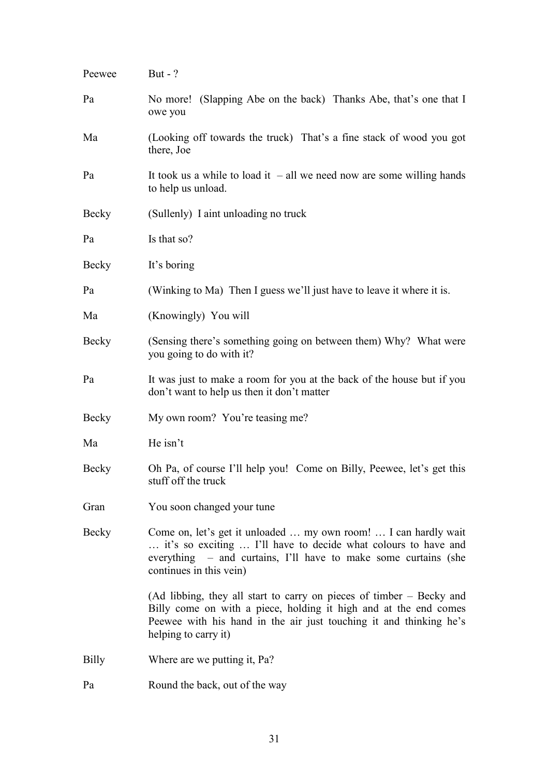| Peewee | But $-$ ?                                                                                                                                                                                                                              |
|--------|----------------------------------------------------------------------------------------------------------------------------------------------------------------------------------------------------------------------------------------|
| Pa     | No more! (Slapping Abe on the back) Thanks Abe, that's one that I<br>owe you                                                                                                                                                           |
| Ma     | (Looking off towards the truck) That's a fine stack of wood you got<br>there, Joe                                                                                                                                                      |
| Pa     | It took us a while to load it $-$ all we need now are some willing hands<br>to help us unload.                                                                                                                                         |
| Becky  | (Sullenly) I aint unloading no truck                                                                                                                                                                                                   |
| Pa     | Is that so?                                                                                                                                                                                                                            |
| Becky  | It's boring                                                                                                                                                                                                                            |
| Pa     | (Winking to Ma) Then I guess we'll just have to leave it where it is.                                                                                                                                                                  |
| Ma     | (Knowingly) You will                                                                                                                                                                                                                   |
| Becky  | (Sensing there's something going on between them) Why? What were<br>you going to do with it?                                                                                                                                           |
| Pa     | It was just to make a room for you at the back of the house but if you<br>don't want to help us then it don't matter                                                                                                                   |
| Becky  | My own room? You're teasing me?                                                                                                                                                                                                        |
| Ma     | He isn't                                                                                                                                                                                                                               |
| Becky  | Oh Pa, of course I'll help you! Come on Billy, Peewee, let's get this<br>stuff off the truck                                                                                                                                           |
| Gran   | You soon changed your tune                                                                                                                                                                                                             |
| Becky  | Come on, let's get it unloaded  my own room!  I can hardly wait<br>it's so exciting  I'll have to decide what colours to have and<br>everything – and curtains, I'll have to make some curtains (she<br>continues in this vein)        |
|        | (Ad libbing, they all start to carry on pieces of timber – Becky and<br>Billy come on with a piece, holding it high and at the end comes<br>Peewee with his hand in the air just touching it and thinking he's<br>helping to carry it) |
| Billy  | Where are we putting it, Pa?                                                                                                                                                                                                           |
| Pa     | Round the back, out of the way                                                                                                                                                                                                         |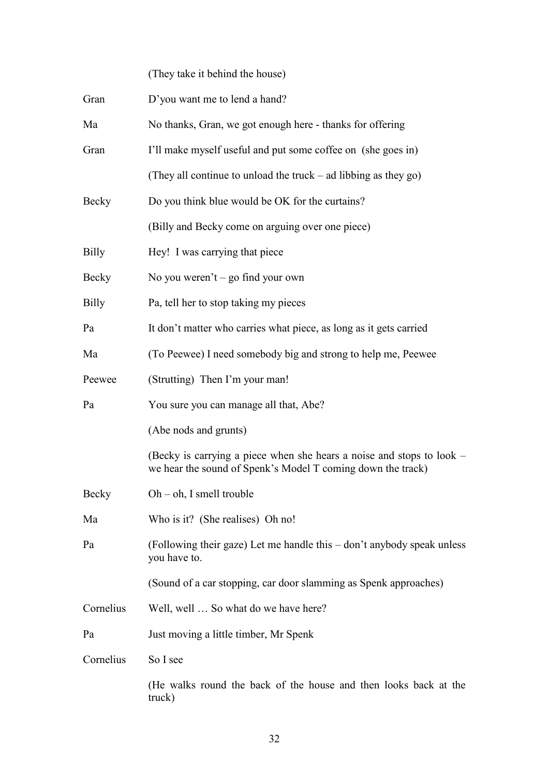(They take it behind the house)

| Gran         | D'you want me to lend a hand?                                                                                                        |
|--------------|--------------------------------------------------------------------------------------------------------------------------------------|
| Ma           | No thanks, Gran, we got enough here - thanks for offering                                                                            |
| Gran         | I'll make myself useful and put some coffee on (she goes in)                                                                         |
|              | (They all continue to unload the truck – ad libbing as they go)                                                                      |
| Becky        | Do you think blue would be OK for the curtains?                                                                                      |
|              | (Billy and Becky come on arguing over one piece)                                                                                     |
| <b>Billy</b> | Hey! I was carrying that piece                                                                                                       |
| Becky        | No you weren't $-$ go find your own                                                                                                  |
| <b>Billy</b> | Pa, tell her to stop taking my pieces                                                                                                |
| Pa           | It don't matter who carries what piece, as long as it gets carried                                                                   |
| Ma           | (To Peewee) I need somebody big and strong to help me, Peewee                                                                        |
| Peewee       | (Strutting) Then I'm your man!                                                                                                       |
| Pa           | You sure you can manage all that, Abe?                                                                                               |
|              | (Abe nods and grunts)                                                                                                                |
|              | (Becky is carrying a piece when she hears a noise and stops to look –<br>we hear the sound of Spenk's Model T coming down the track) |
| Becky        | $Oh - oh$ , I smell trouble                                                                                                          |
| Ma           | Who is it? (She realises) Oh no!                                                                                                     |
| Pa           | (Following their gaze) Let me handle this – don't anybody speak unless<br>you have to.                                               |
|              | (Sound of a car stopping, car door slamming as Spenk approaches)                                                                     |
| Cornelius    | Well, well  So what do we have here?                                                                                                 |
| Pa           | Just moving a little timber, Mr Spenk                                                                                                |
| Cornelius    | So I see                                                                                                                             |
|              | (He walks round the back of the house and then looks back at the<br>truck)                                                           |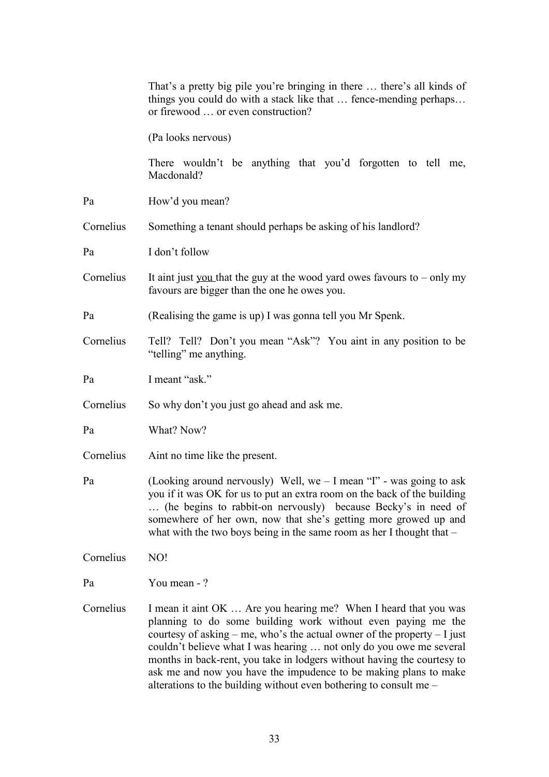|           | That's a pretty big pile you're bringing in there  there's all kinds of<br>things you could do with a stack like that  fence-mending perhaps<br>or firewood  or even construction?                                                                                                                                                                                                                                                                                                                           |
|-----------|--------------------------------------------------------------------------------------------------------------------------------------------------------------------------------------------------------------------------------------------------------------------------------------------------------------------------------------------------------------------------------------------------------------------------------------------------------------------------------------------------------------|
|           | (Pa looks nervous)                                                                                                                                                                                                                                                                                                                                                                                                                                                                                           |
|           | There wouldn't be anything that you'd forgotten to tell me,<br>Macdonald?                                                                                                                                                                                                                                                                                                                                                                                                                                    |
| Pa        | How'd you mean?                                                                                                                                                                                                                                                                                                                                                                                                                                                                                              |
| Cornelius | Something a tenant should perhaps be asking of his landlord?                                                                                                                                                                                                                                                                                                                                                                                                                                                 |
| Pa        | I don't follow                                                                                                                                                                                                                                                                                                                                                                                                                                                                                               |
| Cornelius | It aint just you that the guy at the wood yard owes favours to $-$ only my<br>favours are bigger than the one he owes you.                                                                                                                                                                                                                                                                                                                                                                                   |
| Pa        | (Realising the game is up) I was gonna tell you Mr Spenk.                                                                                                                                                                                                                                                                                                                                                                                                                                                    |
| Cornelius | Tell? Tell? Don't you mean "Ask"? You aint in any position to be<br>"telling" me anything.                                                                                                                                                                                                                                                                                                                                                                                                                   |
| Pa        | I meant "ask."                                                                                                                                                                                                                                                                                                                                                                                                                                                                                               |
| Cornelius | So why don't you just go ahead and ask me.                                                                                                                                                                                                                                                                                                                                                                                                                                                                   |
| Pa        | What? Now?                                                                                                                                                                                                                                                                                                                                                                                                                                                                                                   |
| Cornelius | Aint no time like the present.                                                                                                                                                                                                                                                                                                                                                                                                                                                                               |
| Pa        | (Looking around nervously) Well, we $-$ I mean "I" - was going to ask<br>you if it was OK for us to put an extra room on the back of the building<br>(he begins to rabbit-on nervously) because Becky's in need of<br>somewhere of her own, now that she's getting more growed up and<br>what with the two boys being in the same room as her I thought that -                                                                                                                                               |
| Cornelius | NO!                                                                                                                                                                                                                                                                                                                                                                                                                                                                                                          |
| Pa        | You mean -?                                                                                                                                                                                                                                                                                                                                                                                                                                                                                                  |
| Cornelius | I mean it aint OK  Are you hearing me? When I heard that you was<br>planning to do some building work without even paying me the<br>courtesy of asking $-$ me, who's the actual owner of the property $-$ I just<br>couldn't believe what I was hearing  not only do you owe me several<br>months in back-rent, you take in lodgers without having the courtesy to<br>ask me and now you have the impudence to be making plans to make<br>alterations to the building without even bothering to consult me - |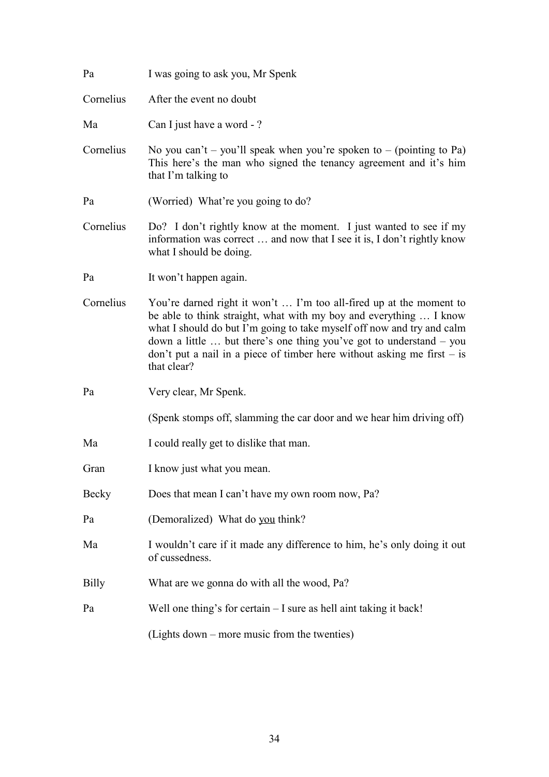| Pa           | I was going to ask you, Mr Spenk                                                                                                                                                                                                                                                                                                                                                       |
|--------------|----------------------------------------------------------------------------------------------------------------------------------------------------------------------------------------------------------------------------------------------------------------------------------------------------------------------------------------------------------------------------------------|
| Cornelius    | After the event no doubt                                                                                                                                                                                                                                                                                                                                                               |
| Ma           | Can I just have a word - ?                                                                                                                                                                                                                                                                                                                                                             |
| Cornelius    | No you can't – you'll speak when you're spoken to – (pointing to Pa)<br>This here's the man who signed the tenancy agreement and it's him<br>that I'm talking to                                                                                                                                                                                                                       |
| Pa           | (Worried) What're you going to do?                                                                                                                                                                                                                                                                                                                                                     |
| Cornelius    | Do? I don't rightly know at the moment. I just wanted to see if my<br>information was correct  and now that I see it is, I don't rightly know<br>what I should be doing.                                                                                                                                                                                                               |
| Pa           | It won't happen again.                                                                                                                                                                                                                                                                                                                                                                 |
| Cornelius    | You're darned right it won't  I'm too all-fired up at the moment to<br>be able to think straight, what with my boy and everything  I know<br>what I should do but I'm going to take myself off now and try and calm<br>down a little  but there's one thing you've got to understand – you<br>don't put a nail in a piece of timber here without asking me first $-$ is<br>that clear? |
| Pa           | Very clear, Mr Spenk.                                                                                                                                                                                                                                                                                                                                                                  |
|              | (Spenk stomps off, slamming the car door and we hear him driving off)                                                                                                                                                                                                                                                                                                                  |
| Ma           | I could really get to dislike that man.                                                                                                                                                                                                                                                                                                                                                |
| Gran         | I know just what you mean.                                                                                                                                                                                                                                                                                                                                                             |
| Becky        | Does that mean I can't have my own room now, Pa?                                                                                                                                                                                                                                                                                                                                       |
| Pa           | (Demoralized) What do you think?                                                                                                                                                                                                                                                                                                                                                       |
| Ma           | I wouldn't care if it made any difference to him, he's only doing it out<br>of cussedness.                                                                                                                                                                                                                                                                                             |
| <b>Billy</b> | What are we gonna do with all the wood, Pa?                                                                                                                                                                                                                                                                                                                                            |
| Pa           | Well one thing's for certain $-$ I sure as hell aint taking it back!                                                                                                                                                                                                                                                                                                                   |
|              | (Lights down – more music from the twenties)                                                                                                                                                                                                                                                                                                                                           |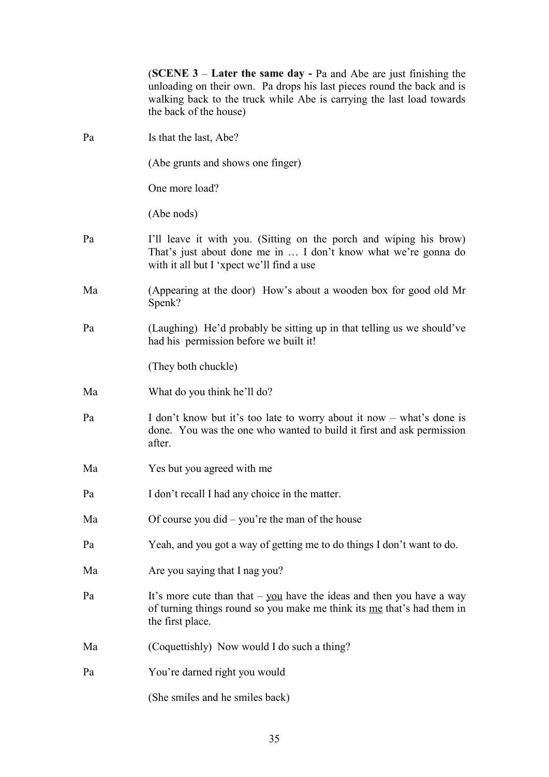(**SCENE 3** – **Later the same day -** Pa and Abe are just finishing the unloading on their own. Pa drops his last pieces round the back and is walking back to the truck while Abe is carrying the last load towards the back of the house)

Pa Is that the last, Abe? (Abe grunts and shows one finger) One more load? (Abe nods) Pa I'll leave it with you. (Sitting on the porch and wiping his brow) That's just about done me in … I don't know what we're gonna do with it all but I 'xpect we'll find a use Ma (Appearing at the door) How's about a wooden box for good old Mr Spenk? Pa (Laughing) He'd probably be sitting up in that telling us we should've had his permission before we built it! (They both chuckle) Ma What do you think he'll do? Pa I don't know but it's too late to worry about it now – what's done is done. You was the one who wanted to build it first and ask permission after. Ma Yes but you agreed with me Pa I don't recall I had any choice in the matter. Ma Of course you did – you're the man of the house Pa Yeah, and you got a way of getting me to do things I don't want to do. Ma Are you saying that I nag you? Pa It's more cute than that  $-\frac{1}{2}$  have the ideas and then you have a way of turning things round so you make me think its me that's had them in the first place. Ma (Coquettishly) Now would I do such a thing? Pa You're darned right you would

(She smiles and he smiles back)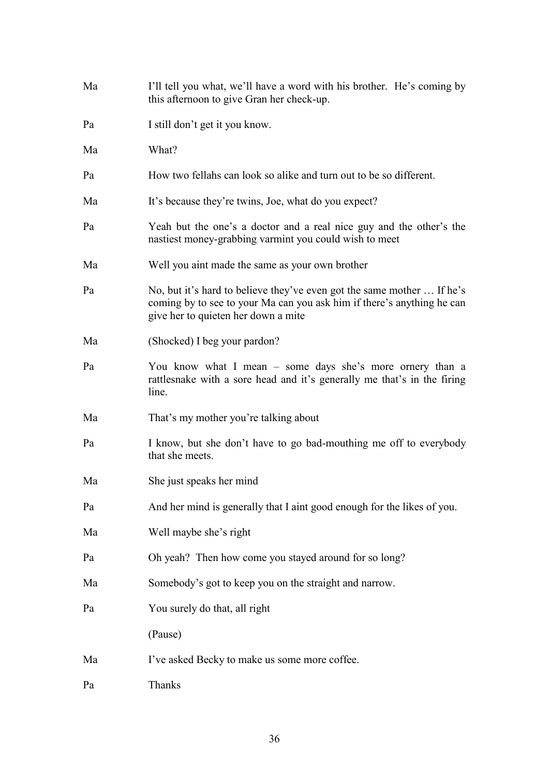| Ma | I'll tell you what, we'll have a word with his brother. He's coming by<br>this afternoon to give Gran her check-up.                                                                     |
|----|-----------------------------------------------------------------------------------------------------------------------------------------------------------------------------------------|
| Pa | I still don't get it you know.                                                                                                                                                          |
| Ma | What?                                                                                                                                                                                   |
| Pa | How two fellahs can look so alike and turn out to be so different.                                                                                                                      |
| Ma | It's because they're twins, Joe, what do you expect?                                                                                                                                    |
| Pa | Yeah but the one's a doctor and a real nice guy and the other's the<br>nastiest money-grabbing varmint you could wish to meet                                                           |
| Ma | Well you aint made the same as your own brother                                                                                                                                         |
| Pa | No, but it's hard to believe they've even got the same mother  If he's<br>coming by to see to your Ma can you ask him if there's anything he can<br>give her to quieten her down a mite |
| Ma | (Shocked) I beg your pardon?                                                                                                                                                            |
| Pa | You know what I mean – some days she's more ornery than a<br>rattlesnake with a sore head and it's generally me that's in the firing<br>line.                                           |
| Ma | That's my mother you're talking about                                                                                                                                                   |
| Pa | I know, but she don't have to go bad-mouthing me off to everybody<br>that she meets.                                                                                                    |
| Ma | She just speaks her mind                                                                                                                                                                |
| Pa | And her mind is generally that I aint good enough for the likes of you.                                                                                                                 |
| Ma | Well maybe she's right                                                                                                                                                                  |
| Pa | Oh yeah? Then how come you stayed around for so long?                                                                                                                                   |
| Ma | Somebody's got to keep you on the straight and narrow.                                                                                                                                  |
| Pa | You surely do that, all right                                                                                                                                                           |
|    | (Pause)                                                                                                                                                                                 |
| Ma | I've asked Becky to make us some more coffee.                                                                                                                                           |
| Pa | Thanks                                                                                                                                                                                  |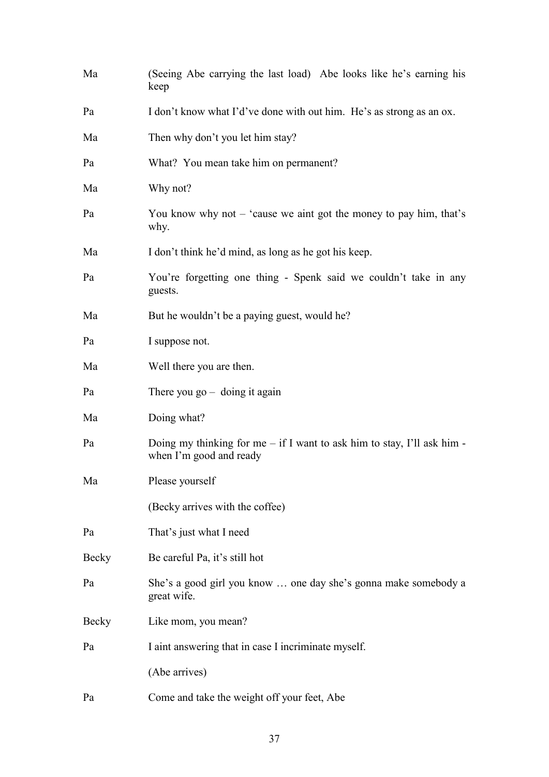| Ma    | (Seeing Abe carrying the last load) Abe looks like he's earning his<br>keep                          |
|-------|------------------------------------------------------------------------------------------------------|
| Pa    | I don't know what I'd've done with out him. He's as strong as an ox.                                 |
| Ma    | Then why don't you let him stay?                                                                     |
| Pa    | What? You mean take him on permanent?                                                                |
| Ma    | Why not?                                                                                             |
| Pa    | You know why not $-$ 'cause we aint got the money to pay him, that's<br>why.                         |
| Ma    | I don't think he'd mind, as long as he got his keep.                                                 |
| Pa    | You're forgetting one thing - Spenk said we couldn't take in any<br>guests.                          |
| Ma    | But he wouldn't be a paying guest, would he?                                                         |
| Pa    | I suppose not.                                                                                       |
| Ma    | Well there you are then.                                                                             |
| Pa    | There you $\text{go}$ – doing it again                                                               |
| Ma    | Doing what?                                                                                          |
| Pa    | Doing my thinking for me $-$ if I want to ask him to stay, I'll ask him -<br>when I'm good and ready |
| Ma    | Please yourself                                                                                      |
|       | (Becky arrives with the coffee)                                                                      |
| Pa    | That's just what I need                                                                              |
| Becky | Be careful Pa, it's still hot                                                                        |
| Pa    | She's a good girl you know  one day she's gonna make somebody a<br>great wife.                       |
| Becky | Like mom, you mean?                                                                                  |
| Pa    | I aint answering that in case I incriminate myself.                                                  |
|       | (Abe arrives)                                                                                        |
| Pa    | Come and take the weight off your feet, Abe                                                          |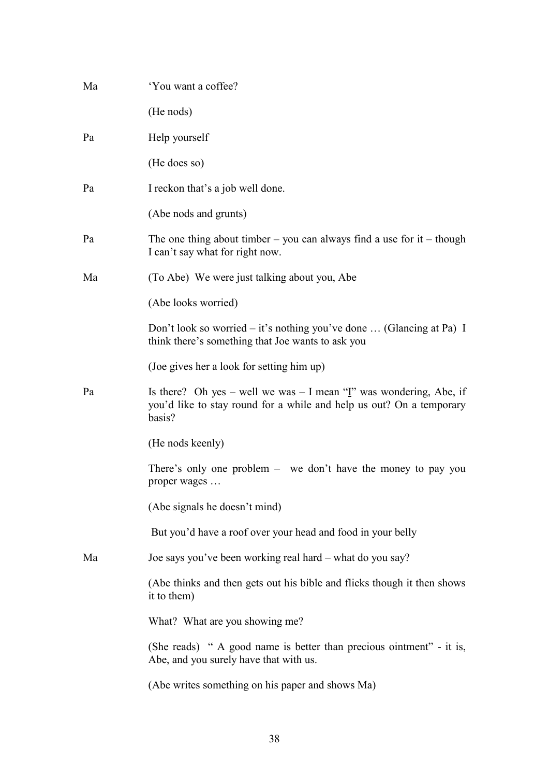| Ma | 'You want a coffee?                                                                                                                                               |
|----|-------------------------------------------------------------------------------------------------------------------------------------------------------------------|
|    | (He nods)                                                                                                                                                         |
| Pa | Help yourself                                                                                                                                                     |
|    | (He does so)                                                                                                                                                      |
| Pa | I reckon that's a job well done.                                                                                                                                  |
|    | (Abe nods and grunts)                                                                                                                                             |
| Pa | The one thing about timber – you can always find a use for it – though<br>I can't say what for right now.                                                         |
| Ma | (To Abe) We were just talking about you, Abe                                                                                                                      |
|    | (Abe looks worried)                                                                                                                                               |
|    | Don't look so worried – it's nothing you've done  (Glancing at Pa) I<br>think there's something that Joe wants to ask you                                         |
|    | (Joe gives her a look for setting him up)                                                                                                                         |
| Pa | Is there? Oh yes – well we was – I mean " $\mathbf{I}$ " was wondering, Abe, if<br>you'd like to stay round for a while and help us out? On a temporary<br>basis? |
|    | (He nods keenly)                                                                                                                                                  |
|    | There's only one problem $-$ we don't have the money to pay you<br>proper wages                                                                                   |
|    | (Abe signals he doesn't mind)                                                                                                                                     |
|    | But you'd have a roof over your head and food in your belly                                                                                                       |
| Ma | Joe says you've been working real hard – what do you say?                                                                                                         |
|    | (Abe thinks and then gets out his bible and flicks though it then shows<br>it to them)                                                                            |
|    | What? What are you showing me?                                                                                                                                    |
|    | (She reads) " A good name is better than precious ointment" - it is,<br>Abe, and you surely have that with us.                                                    |
|    | (Abe writes something on his paper and shows Ma)                                                                                                                  |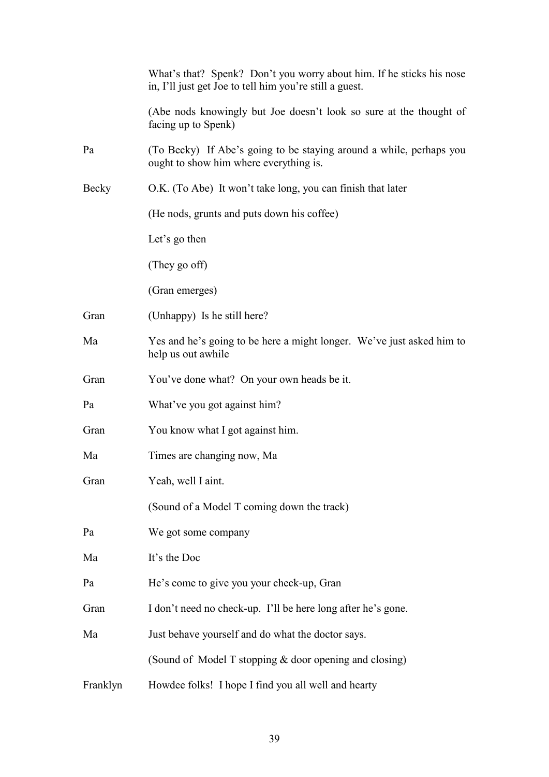|          | What's that? Spenk? Don't you worry about him. If he sticks his nose<br>in, I'll just get Joe to tell him you're still a guest. |
|----------|---------------------------------------------------------------------------------------------------------------------------------|
|          | (Abe nods knowingly but Joe doesn't look so sure at the thought of<br>facing up to Spenk)                                       |
| Pa       | (To Becky) If Abe's going to be staying around a while, perhaps you<br>ought to show him where everything is.                   |
| Becky    | O.K. (To Abe) It won't take long, you can finish that later                                                                     |
|          | (He nods, grunts and puts down his coffee)                                                                                      |
|          | Let's go then                                                                                                                   |
|          | (They go off)                                                                                                                   |
|          | (Gran emerges)                                                                                                                  |
| Gran     | (Unhappy) Is he still here?                                                                                                     |
| Ma       | Yes and he's going to be here a might longer. We've just asked him to<br>help us out awhile                                     |
| Gran     | You've done what? On your own heads be it.                                                                                      |
| Pa       | What've you got against him?                                                                                                    |
| Gran     | You know what I got against him.                                                                                                |
| Ma       | Times are changing now, Ma                                                                                                      |
| Gran     | Yeah, well I aint.                                                                                                              |
|          | (Sound of a Model T coming down the track)                                                                                      |
| Pa       | We got some company                                                                                                             |
| Ma       | It's the Doc                                                                                                                    |
| Pa       | He's come to give you your check-up, Gran                                                                                       |
| Gran     | I don't need no check-up. I'll be here long after he's gone.                                                                    |
| Ma       | Just behave yourself and do what the doctor says.                                                                               |
|          | (Sound of Model T stopping & door opening and closing)                                                                          |
| Franklyn | Howdee folks! I hope I find you all well and hearty                                                                             |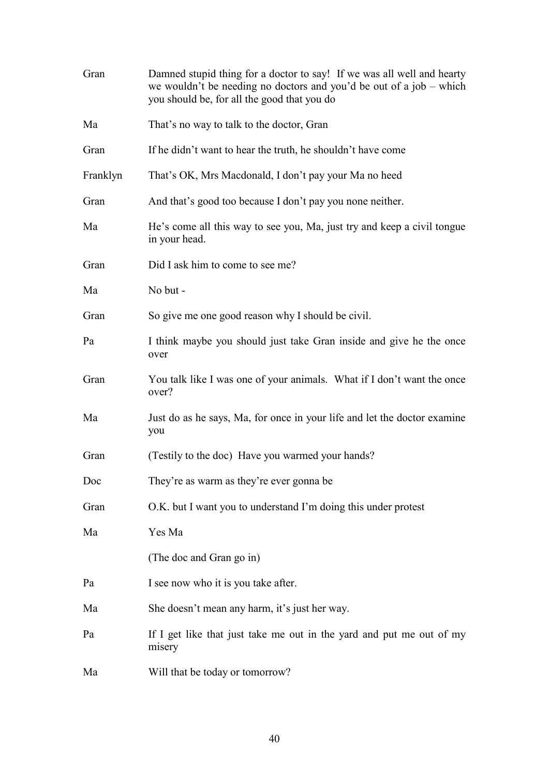| Gran     | Damned stupid thing for a doctor to say! If we was all well and hearty<br>we wouldn't be needing no doctors and you'd be out of a job – which<br>you should be, for all the good that you do |
|----------|----------------------------------------------------------------------------------------------------------------------------------------------------------------------------------------------|
| Ma       | That's no way to talk to the doctor, Gran                                                                                                                                                    |
| Gran     | If he didn't want to hear the truth, he shouldn't have come                                                                                                                                  |
| Franklyn | That's OK, Mrs Macdonald, I don't pay your Ma no heed                                                                                                                                        |
| Gran     | And that's good too because I don't pay you none neither.                                                                                                                                    |
| Ma       | He's come all this way to see you, Ma, just try and keep a civil tongue<br>in your head.                                                                                                     |
| Gran     | Did I ask him to come to see me?                                                                                                                                                             |
| Ma       | No but -                                                                                                                                                                                     |
| Gran     | So give me one good reason why I should be civil.                                                                                                                                            |
| Pa       | I think maybe you should just take Gran inside and give he the once<br>over                                                                                                                  |
| Gran     | You talk like I was one of your animals. What if I don't want the once<br>over?                                                                                                              |
| Ma       | Just do as he says, Ma, for once in your life and let the doctor examine<br>you                                                                                                              |
| Gran     | (Testily to the doc) Have you warmed your hands?                                                                                                                                             |
| Doc      | They're as warm as they're ever gonna be                                                                                                                                                     |
| Gran     | O.K. but I want you to understand I'm doing this under protest                                                                                                                               |
| Ma       | Yes Ma                                                                                                                                                                                       |
|          | (The doc and Gran go in)                                                                                                                                                                     |
| Pa       | I see now who it is you take after.                                                                                                                                                          |
| Ma       | She doesn't mean any harm, it's just her way.                                                                                                                                                |
| Pa       | If I get like that just take me out in the yard and put me out of my<br>misery                                                                                                               |
| Ma       | Will that be today or tomorrow?                                                                                                                                                              |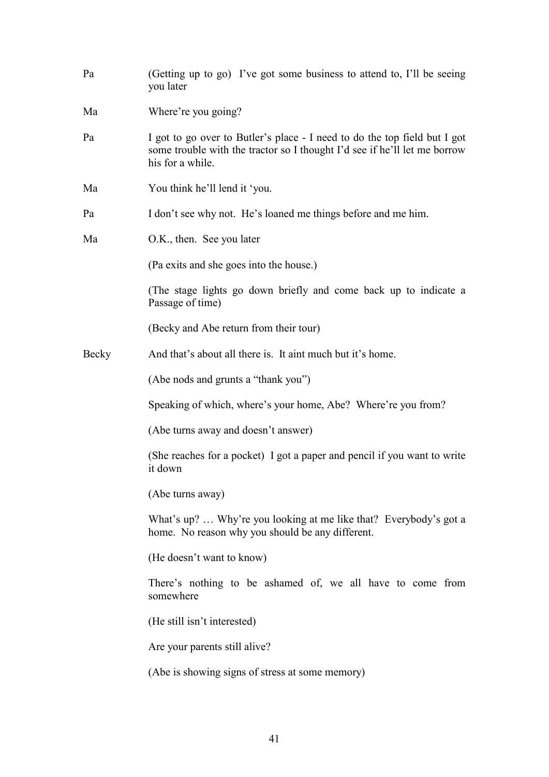| Pa    | (Getting up to go) I've got some business to attend to, I'll be seeing<br>you later                                                                                        |
|-------|----------------------------------------------------------------------------------------------------------------------------------------------------------------------------|
| Ma    | Where're you going?                                                                                                                                                        |
| Pa    | I got to go over to Butler's place - I need to do the top field but I got<br>some trouble with the tractor so I thought I'd see if he'll let me borrow<br>his for a while. |
| Ma    | You think he'll lend it 'you.                                                                                                                                              |
| Pa    | I don't see why not. He's loaned me things before and me him.                                                                                                              |
| Ma    | O.K., then. See you later                                                                                                                                                  |
|       | (Pa exits and she goes into the house.)                                                                                                                                    |
|       | (The stage lights go down briefly and come back up to indicate a<br>Passage of time)                                                                                       |
|       | (Becky and Abe return from their tour)                                                                                                                                     |
| Becky | And that's about all there is. It aint much but it's home.                                                                                                                 |
|       | (Abe nods and grunts a "thank you")                                                                                                                                        |
|       | Speaking of which, where's your home, Abe? Where're you from?                                                                                                              |
|       | (Abe turns away and doesn't answer)                                                                                                                                        |
|       | (She reaches for a pocket) I got a paper and pencil if you want to write<br>it down                                                                                        |
|       | (Abe turns away)                                                                                                                                                           |
|       | What's up?  Why're you looking at me like that? Everybody's got a<br>home. No reason why you should be any different.                                                      |
|       | (He doesn't want to know)                                                                                                                                                  |
|       | There's nothing to be ashamed of, we all have to come from<br>somewhere                                                                                                    |
|       | (He still isn't interested)                                                                                                                                                |
|       | Are your parents still alive?                                                                                                                                              |
|       | (Abe is showing signs of stress at some memory)                                                                                                                            |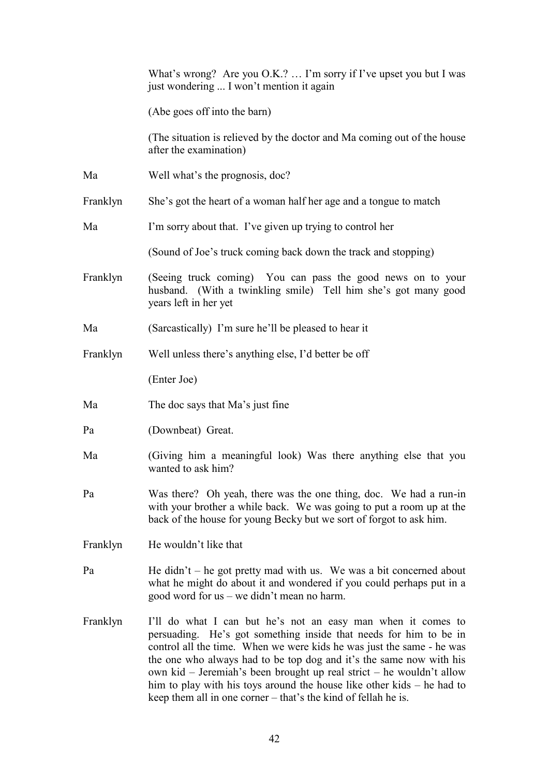|          | What's wrong? Are you O.K.?  I'm sorry if I've upset you but I was<br>just wondering  I won't mention it again                                                                                                                                                                                                                                                                                                                                                                                        |
|----------|-------------------------------------------------------------------------------------------------------------------------------------------------------------------------------------------------------------------------------------------------------------------------------------------------------------------------------------------------------------------------------------------------------------------------------------------------------------------------------------------------------|
|          | (Abe goes off into the barn)                                                                                                                                                                                                                                                                                                                                                                                                                                                                          |
|          | (The situation is relieved by the doctor and Ma coming out of the house<br>after the examination)                                                                                                                                                                                                                                                                                                                                                                                                     |
| Ma       | Well what's the prognosis, doc?                                                                                                                                                                                                                                                                                                                                                                                                                                                                       |
| Franklyn | She's got the heart of a woman half her age and a tongue to match                                                                                                                                                                                                                                                                                                                                                                                                                                     |
| Ma       | I'm sorry about that. I've given up trying to control her                                                                                                                                                                                                                                                                                                                                                                                                                                             |
|          | (Sound of Joe's truck coming back down the track and stopping)                                                                                                                                                                                                                                                                                                                                                                                                                                        |
| Franklyn | (Seeing truck coming) You can pass the good news on to your<br>husband. (With a twinkling smile) Tell him she's got many good<br>years left in her yet                                                                                                                                                                                                                                                                                                                                                |
| Ma       | (Sarcastically) I'm sure he'll be pleased to hear it                                                                                                                                                                                                                                                                                                                                                                                                                                                  |
| Franklyn | Well unless there's anything else, I'd better be off                                                                                                                                                                                                                                                                                                                                                                                                                                                  |
|          | (Enter Joe)                                                                                                                                                                                                                                                                                                                                                                                                                                                                                           |
| Ma       | The doc says that Ma's just fine                                                                                                                                                                                                                                                                                                                                                                                                                                                                      |
| Pa       | (Downbeat) Great.                                                                                                                                                                                                                                                                                                                                                                                                                                                                                     |
| Ma       | (Giving him a meaningful look) Was there anything else that you<br>wanted to ask him?                                                                                                                                                                                                                                                                                                                                                                                                                 |
| Pa       | Was there? Oh yeah, there was the one thing, doc. We had a run-in<br>with your brother a while back. We was going to put a room up at the<br>back of the house for young Becky but we sort of forgot to ask him.                                                                                                                                                                                                                                                                                      |
| Franklyn | He wouldn't like that                                                                                                                                                                                                                                                                                                                                                                                                                                                                                 |
| Pa       | He didn't $-$ he got pretty mad with us. We was a bit concerned about<br>what he might do about it and wondered if you could perhaps put in a<br>good word for us – we didn't mean no harm.                                                                                                                                                                                                                                                                                                           |
| Franklyn | I'll do what I can but he's not an easy man when it comes to<br>persuading. He's got something inside that needs for him to be in<br>control all the time. When we were kids he was just the same - he was<br>the one who always had to be top dog and it's the same now with his<br>own kid – Jeremiah's been brought up real strict – he wouldn't allow<br>him to play with his toys around the house like other kids – he had to<br>keep them all in one corner - that's the kind of fellah he is. |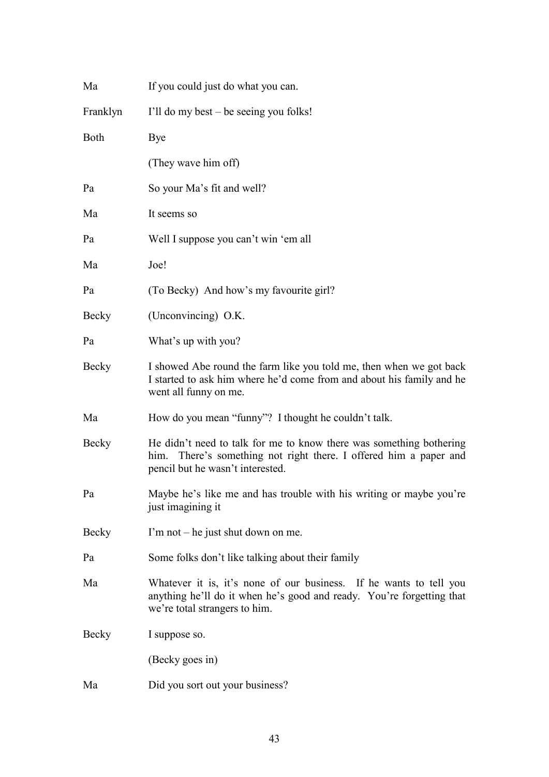| Ma           | If you could just do what you can.                                                                                                                                              |
|--------------|---------------------------------------------------------------------------------------------------------------------------------------------------------------------------------|
| Franklyn     | I'll do my best – be seeing you folks!                                                                                                                                          |
| Both         | Bye                                                                                                                                                                             |
|              | (They wave him off)                                                                                                                                                             |
| Pa           | So your Ma's fit and well?                                                                                                                                                      |
| Ma           | It seems so                                                                                                                                                                     |
| Pa           | Well I suppose you can't win 'em all                                                                                                                                            |
| Ma           | Joe!                                                                                                                                                                            |
| Pa           | (To Becky) And how's my favourite girl?                                                                                                                                         |
| Becky        | (Unconvincing) O.K.                                                                                                                                                             |
| Pa           | What's up with you?                                                                                                                                                             |
| <b>Becky</b> | I showed Abe round the farm like you told me, then when we got back<br>I started to ask him where he'd come from and about his family and he<br>went all funny on me.           |
| Ma           | How do you mean "funny"? I thought he couldn't talk.                                                                                                                            |
| <b>Becky</b> | He didn't need to talk for me to know there was something bothering<br>There's something not right there. I offered him a paper and<br>him.<br>pencil but he wasn't interested. |
| Pa           | Maybe he's like me and has trouble with his writing or maybe you're<br>just imagining it                                                                                        |
| Becky        | I'm not $-$ he just shut down on me.                                                                                                                                            |
| Pa           | Some folks don't like talking about their family                                                                                                                                |
| Ma           | Whatever it is, it's none of our business. If he wants to tell you<br>anything he'll do it when he's good and ready. You're forgetting that<br>we're total strangers to him.    |
| <b>Becky</b> | I suppose so.                                                                                                                                                                   |
|              | (Becky goes in)                                                                                                                                                                 |
| Ma           | Did you sort out your business?                                                                                                                                                 |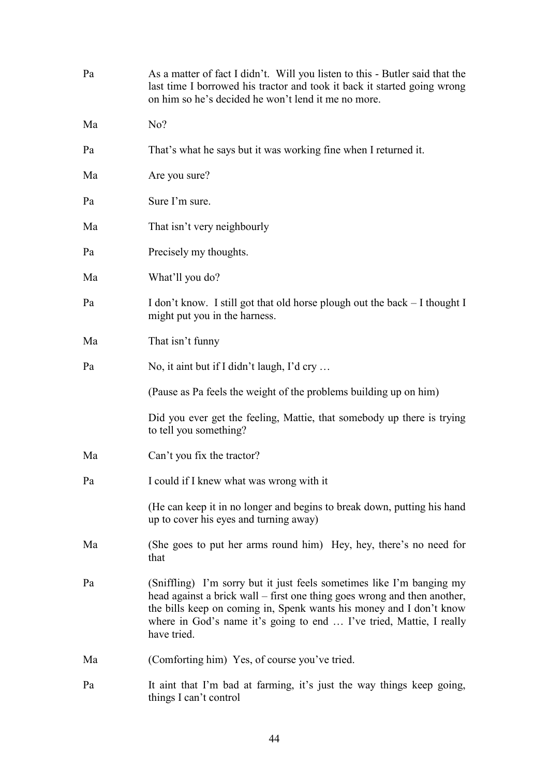| Pa | As a matter of fact I didn't. Will you listen to this - Butler said that the<br>last time I borrowed his tractor and took it back it started going wrong<br>on him so he's decided he won't lend it me no more.                                                                                                |
|----|----------------------------------------------------------------------------------------------------------------------------------------------------------------------------------------------------------------------------------------------------------------------------------------------------------------|
| Ma | No?                                                                                                                                                                                                                                                                                                            |
| Pa | That's what he says but it was working fine when I returned it.                                                                                                                                                                                                                                                |
| Ma | Are you sure?                                                                                                                                                                                                                                                                                                  |
| Pa | Sure I'm sure.                                                                                                                                                                                                                                                                                                 |
| Ma | That isn't very neighbourly                                                                                                                                                                                                                                                                                    |
| Pa | Precisely my thoughts.                                                                                                                                                                                                                                                                                         |
| Ma | What'll you do?                                                                                                                                                                                                                                                                                                |
| Pa | I don't know. I still got that old horse plough out the back – I thought I<br>might put you in the harness.                                                                                                                                                                                                    |
| Ma | That isn't funny                                                                                                                                                                                                                                                                                               |
| Pa | No, it aint but if I didn't laugh, I'd cry                                                                                                                                                                                                                                                                     |
|    | (Pause as Pa feels the weight of the problems building up on him)                                                                                                                                                                                                                                              |
|    | Did you ever get the feeling, Mattie, that somebody up there is trying<br>to tell you something?                                                                                                                                                                                                               |
| Ma | Can't you fix the tractor?                                                                                                                                                                                                                                                                                     |
| Pa | I could if I knew what was wrong with it                                                                                                                                                                                                                                                                       |
|    | (He can keep it in no longer and begins to break down, putting his hand<br>up to cover his eyes and turning away)                                                                                                                                                                                              |
| Ma | (She goes to put her arms round him) Hey, hey, there's no need for<br>that                                                                                                                                                                                                                                     |
| Pa | (Sniffling) I'm sorry but it just feels sometimes like I'm banging my<br>head against a brick wall – first one thing goes wrong and then another,<br>the bills keep on coming in, Spenk wants his money and I don't know<br>where in God's name it's going to end  I've tried, Mattie, I really<br>have tried. |
| Ma | (Comforting him) Yes, of course you've tried.                                                                                                                                                                                                                                                                  |
| Pa | It aint that I'm bad at farming, it's just the way things keep going,<br>things I can't control                                                                                                                                                                                                                |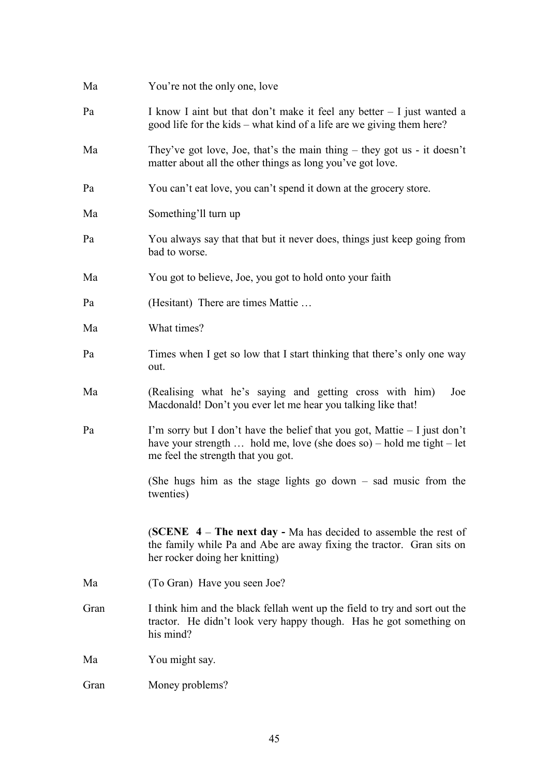| Ma   | You're not the only one, love                                                                                                                                                              |
|------|--------------------------------------------------------------------------------------------------------------------------------------------------------------------------------------------|
| Pa   | I know I aint but that don't make it feel any better $-$ I just wanted a<br>good life for the kids – what kind of a life are we giving them here?                                          |
| Ma   | They've got love, Joe, that's the main thing $-$ they got us - it doesn't<br>matter about all the other things as long you've got love.                                                    |
| Pa   | You can't eat love, you can't spend it down at the grocery store.                                                                                                                          |
| Ma   | Something'll turn up                                                                                                                                                                       |
| Pa   | You always say that that but it never does, things just keep going from<br>bad to worse.                                                                                                   |
| Ma   | You got to believe, Joe, you got to hold onto your faith                                                                                                                                   |
| Pa   | (Hesitant) There are times Mattie                                                                                                                                                          |
| Ma   | What times?                                                                                                                                                                                |
| Pa   | Times when I get so low that I start thinking that there's only one way<br>out.                                                                                                            |
| Ma   | (Realising what he's saying and getting cross with him)<br>Joe<br>Macdonald! Don't you ever let me hear you talking like that!                                                             |
| Pa   | I'm sorry but I don't have the belief that you got, Mattie $-$ I just don't<br>have your strength  hold me, love (she does so) – hold me tight – let<br>me feel the strength that you got. |
|      | (She hugs him as the stage lights go down $-$ sad music from the<br>twenties)                                                                                                              |
|      | (SCENE 4 - The next day - Ma has decided to assemble the rest of<br>the family while Pa and Abe are away fixing the tractor. Gran sits on<br>her rocker doing her knitting)                |
| Ma   | (To Gran) Have you seen Joe?                                                                                                                                                               |
| Gran | I think him and the black fellah went up the field to try and sort out the<br>tractor. He didn't look very happy though. Has he got something on<br>his mind?                              |
| Ma   | You might say.                                                                                                                                                                             |
| Gran | Money problems?                                                                                                                                                                            |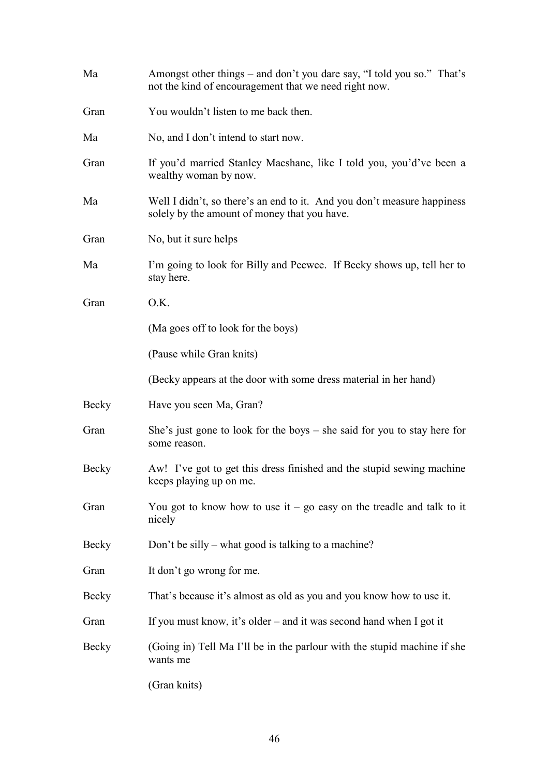| Ma           | Amongst other things – and don't you dare say, "I told you so." That's<br>not the kind of encouragement that we need right now. |
|--------------|---------------------------------------------------------------------------------------------------------------------------------|
| Gran         | You wouldn't listen to me back then.                                                                                            |
| Ma           | No, and I don't intend to start now.                                                                                            |
| Gran         | If you'd married Stanley Macshane, like I told you, you'd've been a<br>wealthy woman by now.                                    |
| Ma           | Well I didn't, so there's an end to it. And you don't measure happiness<br>solely by the amount of money that you have.         |
| Gran         | No, but it sure helps                                                                                                           |
| Ma           | I'm going to look for Billy and Peewee. If Becky shows up, tell her to<br>stay here.                                            |
| Gran         | O.K.                                                                                                                            |
|              | (Ma goes off to look for the boys)                                                                                              |
|              | (Pause while Gran knits)                                                                                                        |
|              | (Becky appears at the door with some dress material in her hand)                                                                |
| Becky        | Have you seen Ma, Gran?                                                                                                         |
| Gran         | She's just gone to look for the boys $-$ she said for you to stay here for<br>some reason.                                      |
| Becky        | Aw! I've got to get this dress finished and the stupid sewing machine<br>keeps playing up on me.                                |
| Gran         | You got to know how to use it – go easy on the treadle and talk to it<br>nicely                                                 |
| <b>Becky</b> | Don't be silly – what good is talking to a machine?                                                                             |
| Gran         | It don't go wrong for me.                                                                                                       |
| <b>Becky</b> | That's because it's almost as old as you and you know how to use it.                                                            |
| Gran         | If you must know, it's older – and it was second hand when I got it                                                             |
| <b>Becky</b> | (Going in) Tell Ma I'll be in the parlour with the stupid machine if she<br>wants me                                            |
|              | (Gran knits)                                                                                                                    |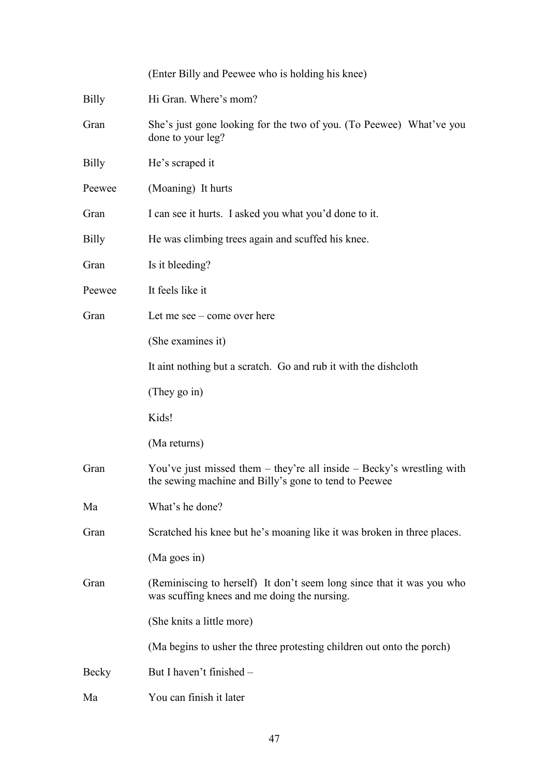|              | (Enter Billy and Peewee who is holding his knee)                                                                               |
|--------------|--------------------------------------------------------------------------------------------------------------------------------|
| <b>Billy</b> | Hi Gran. Where's mom?                                                                                                          |
| Gran         | She's just gone looking for the two of you. (To Peewee) What've you<br>done to your leg?                                       |
| <b>Billy</b> | He's scraped it                                                                                                                |
| Peewee       | (Moaning) It hurts                                                                                                             |
| Gran         | I can see it hurts. I asked you what you'd done to it.                                                                         |
| Billy        | He was climbing trees again and scuffed his knee.                                                                              |
| Gran         | Is it bleeding?                                                                                                                |
| Peewee       | It feels like it                                                                                                               |
| Gran         | Let me see – come over here                                                                                                    |
|              | (She examines it)                                                                                                              |
|              | It aint nothing but a scratch. Go and rub it with the dishcloth                                                                |
|              | (They go in)                                                                                                                   |
|              | Kids!                                                                                                                          |
|              | (Ma returns)                                                                                                                   |
| Gran         | You've just missed them - they're all inside - Becky's wrestling with<br>the sewing machine and Billy's gone to tend to Peewee |
| Ma           | What's he done?                                                                                                                |
| Gran         | Scratched his knee but he's moaning like it was broken in three places.                                                        |
|              | (Ma goes in)                                                                                                                   |
| Gran         | (Reminiscing to herself) It don't seem long since that it was you who<br>was scuffing knees and me doing the nursing.          |
|              | (She knits a little more)                                                                                                      |
|              | (Ma begins to usher the three protesting children out onto the porch)                                                          |
| Becky        | But I haven't finished -                                                                                                       |
| Ma           | You can finish it later                                                                                                        |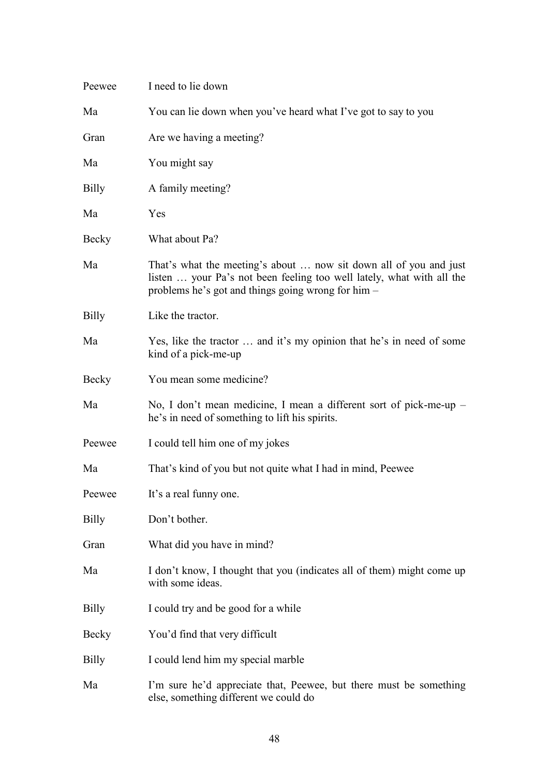| Peewee       | I need to lie down                                                                                                                                                                               |
|--------------|--------------------------------------------------------------------------------------------------------------------------------------------------------------------------------------------------|
| Ma           | You can lie down when you've heard what I've got to say to you                                                                                                                                   |
| Gran         | Are we having a meeting?                                                                                                                                                                         |
| Ma           | You might say                                                                                                                                                                                    |
| Billy        | A family meeting?                                                                                                                                                                                |
| Ma           | Yes                                                                                                                                                                                              |
| Becky        | What about Pa?                                                                                                                                                                                   |
| Ma           | That's what the meeting's about  now sit down all of you and just<br>listen  your Pa's not been feeling too well lately, what with all the<br>problems he's got and things going wrong for him – |
| <b>Billy</b> | Like the tractor.                                                                                                                                                                                |
| Ma           | Yes, like the tractor  and it's my opinion that he's in need of some<br>kind of a pick-me-up                                                                                                     |
| Becky        | You mean some medicine?                                                                                                                                                                          |
| Ma           | No, I don't mean medicine, I mean a different sort of pick-me-up –<br>he's in need of something to lift his spirits.                                                                             |
| Peewee       | I could tell him one of my jokes                                                                                                                                                                 |
| Ma           | That's kind of you but not quite what I had in mind, Peewee                                                                                                                                      |
| Peewee       | It's a real funny one.                                                                                                                                                                           |
| <b>Billy</b> | Don't bother.                                                                                                                                                                                    |
| Gran         | What did you have in mind?                                                                                                                                                                       |
| Ma           | I don't know, I thought that you (indicates all of them) might come up<br>with some ideas.                                                                                                       |
| Billy        | I could try and be good for a while                                                                                                                                                              |
| Becky        | You'd find that very difficult                                                                                                                                                                   |
| Billy        | I could lend him my special marble                                                                                                                                                               |
| Ma           | I'm sure he'd appreciate that, Peewee, but there must be something<br>else, something different we could do                                                                                      |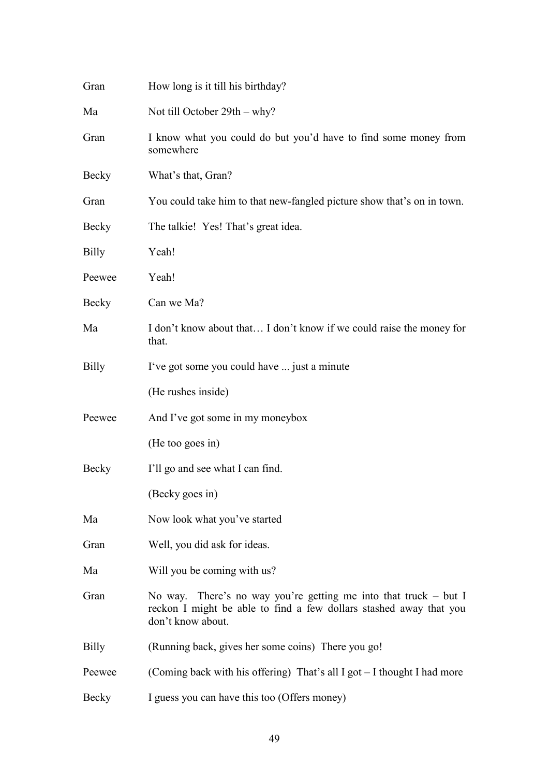| Gran         | How long is it till his birthday?                                                                                                                             |
|--------------|---------------------------------------------------------------------------------------------------------------------------------------------------------------|
| Ma           | Not till October 29th – why?                                                                                                                                  |
| Gran         | I know what you could do but you'd have to find some money from<br>somewhere                                                                                  |
| <b>Becky</b> | What's that, Gran?                                                                                                                                            |
| Gran         | You could take him to that new-fangled picture show that's on in town.                                                                                        |
| Becky        | The talkie! Yes! That's great idea.                                                                                                                           |
| <b>Billy</b> | Yeah!                                                                                                                                                         |
| Peewee       | Yeah!                                                                                                                                                         |
| Becky        | Can we Ma?                                                                                                                                                    |
| Ma           | I don't know about that I don't know if we could raise the money for<br>that.                                                                                 |
| <b>Billy</b> | I've got some you could have  just a minute                                                                                                                   |
|              | (He rushes inside)                                                                                                                                            |
| Peewee       | And I've got some in my moneybox                                                                                                                              |
|              | (He too goes in)                                                                                                                                              |
| Becky        | I'll go and see what I can find.                                                                                                                              |
|              | (Becky goes in)                                                                                                                                               |
| Ma           | Now look what you've started                                                                                                                                  |
| Gran         | Well, you did ask for ideas.                                                                                                                                  |
| Ma           | Will you be coming with us?                                                                                                                                   |
| Gran         | No way. There's no way you're getting me into that truck $-$ but I<br>reckon I might be able to find a few dollars stashed away that you<br>don't know about. |
| Billy        | (Running back, gives her some coins) There you go!                                                                                                            |
| Peewee       | (Coming back with his offering) That's all I got – I thought I had more                                                                                       |
| <b>Becky</b> | I guess you can have this too (Offers money)                                                                                                                  |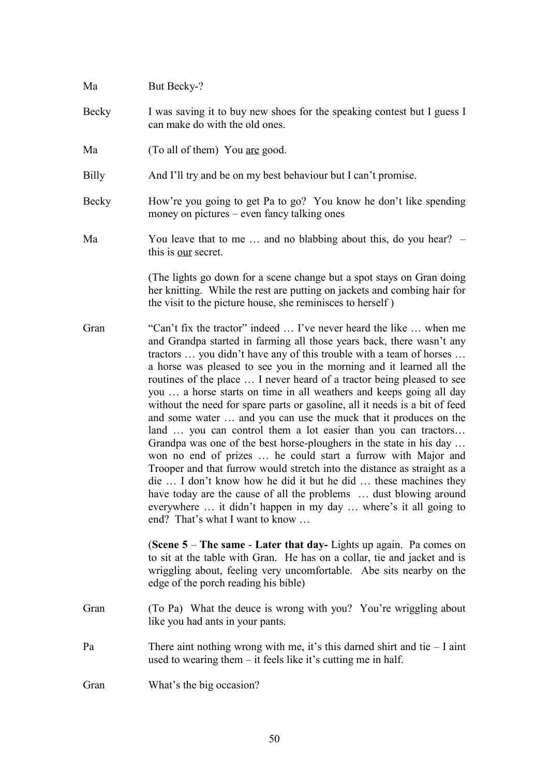| But Becky-?                                                                                                                                                                                                                                                                                                                                                                                                                                                                                                                                                                                                                                                                                                                                                                                                                                                                                                                                                                                                                                                                                                                      |
|----------------------------------------------------------------------------------------------------------------------------------------------------------------------------------------------------------------------------------------------------------------------------------------------------------------------------------------------------------------------------------------------------------------------------------------------------------------------------------------------------------------------------------------------------------------------------------------------------------------------------------------------------------------------------------------------------------------------------------------------------------------------------------------------------------------------------------------------------------------------------------------------------------------------------------------------------------------------------------------------------------------------------------------------------------------------------------------------------------------------------------|
| I was saving it to buy new shoes for the speaking contest but I guess I<br>can make do with the old ones.                                                                                                                                                                                                                                                                                                                                                                                                                                                                                                                                                                                                                                                                                                                                                                                                                                                                                                                                                                                                                        |
| (To all of them) You <u>are</u> good.                                                                                                                                                                                                                                                                                                                                                                                                                                                                                                                                                                                                                                                                                                                                                                                                                                                                                                                                                                                                                                                                                            |
| And I'll try and be on my best behaviour but I can't promise.                                                                                                                                                                                                                                                                                                                                                                                                                                                                                                                                                                                                                                                                                                                                                                                                                                                                                                                                                                                                                                                                    |
| How're you going to get Pa to go? You know he don't like spending<br>money on pictures – even fancy talking ones                                                                                                                                                                                                                                                                                                                                                                                                                                                                                                                                                                                                                                                                                                                                                                                                                                                                                                                                                                                                                 |
| You leave that to me $\ldots$ and no blabbing about this, do you hear? $-$<br>this is <u>our</u> secret.                                                                                                                                                                                                                                                                                                                                                                                                                                                                                                                                                                                                                                                                                                                                                                                                                                                                                                                                                                                                                         |
| (The lights go down for a scene change but a spot stays on Gran doing<br>her knitting. While the rest are putting on jackets and combing hair for<br>the visit to the picture house, she reminisces to herself)                                                                                                                                                                                                                                                                                                                                                                                                                                                                                                                                                                                                                                                                                                                                                                                                                                                                                                                  |
| "Can't fix the tractor" indeed  I've never heard the like  when me<br>and Grandpa started in farming all those years back, there wasn't any<br>tractors  you didn't have any of this trouble with a team of horses<br>a horse was pleased to see you in the morning and it learned all the<br>routines of the place  I never heard of a tractor being pleased to see<br>you  a horse starts on time in all weathers and keeps going all day<br>without the need for spare parts or gasoline, all it needs is a bit of feed<br>and some water  and you can use the muck that it produces on the<br>land  you can control them a lot easier than you can tractors<br>Grandpa was one of the best horse-ploughers in the state in his day<br>won no end of prizes  he could start a furrow with Major and<br>Trooper and that furrow would stretch into the distance as straight as a<br>die  I don't know how he did it but he did  these machines they<br>have today are the cause of all the problems  dust blowing around<br>everywhere  it didn't happen in my day  where's it all going to<br>end? That's what I want to know |
| (Scene 5 - The same - Later that day- Lights up again. Pa comes on<br>to sit at the table with Gran. He has on a collar, tie and jacket and is<br>wriggling about, feeling very uncomfortable. Abe sits nearby on the<br>edge of the porch reading his bible)                                                                                                                                                                                                                                                                                                                                                                                                                                                                                                                                                                                                                                                                                                                                                                                                                                                                    |
| (To Pa) What the deuce is wrong with you? You're wriggling about<br>like you had ants in your pants.                                                                                                                                                                                                                                                                                                                                                                                                                                                                                                                                                                                                                                                                                                                                                                                                                                                                                                                                                                                                                             |
| There aint nothing wrong with me, it's this darned shirt and tie $-1$ aint<br>used to wearing them $-$ it feels like it's cutting me in half.                                                                                                                                                                                                                                                                                                                                                                                                                                                                                                                                                                                                                                                                                                                                                                                                                                                                                                                                                                                    |
| What's the big occasion?                                                                                                                                                                                                                                                                                                                                                                                                                                                                                                                                                                                                                                                                                                                                                                                                                                                                                                                                                                                                                                                                                                         |
|                                                                                                                                                                                                                                                                                                                                                                                                                                                                                                                                                                                                                                                                                                                                                                                                                                                                                                                                                                                                                                                                                                                                  |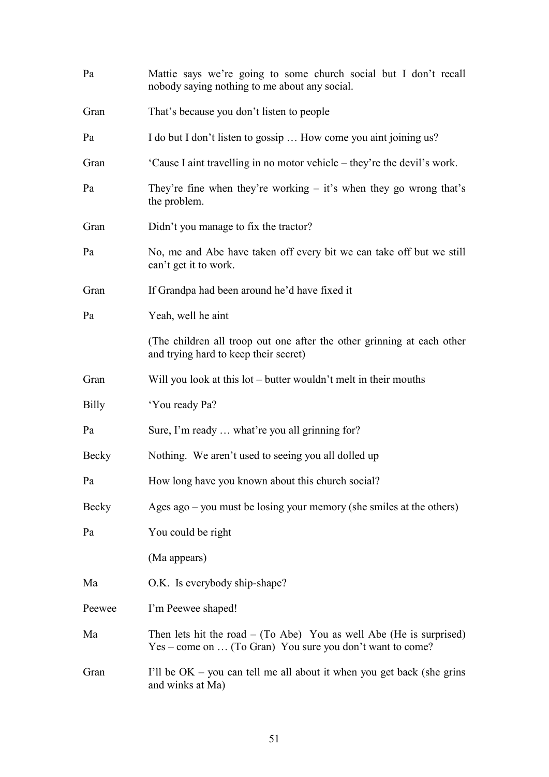| Pa           | Mattie says we're going to some church social but I don't recall<br>nobody saying nothing to me about any social.                  |
|--------------|------------------------------------------------------------------------------------------------------------------------------------|
| Gran         | That's because you don't listen to people                                                                                          |
| Pa           | I do but I don't listen to gossip  How come you aint joining us?                                                                   |
| Gran         | 'Cause I aint travelling in no motor vehicle – they're the devil's work.                                                           |
| Pa           | They're fine when they're working $-$ it's when they go wrong that's<br>the problem.                                               |
| Gran         | Didn't you manage to fix the tractor?                                                                                              |
| Pa           | No, me and Abe have taken off every bit we can take off but we still<br>can't get it to work.                                      |
| Gran         | If Grandpa had been around he'd have fixed it                                                                                      |
| Pa           | Yeah, well he aint                                                                                                                 |
|              | (The children all troop out one after the other grinning at each other<br>and trying hard to keep their secret)                    |
| Gran         | Will you look at this lot – butter wouldn't melt in their mouths                                                                   |
| <b>Billy</b> | 'You ready Pa?                                                                                                                     |
| Pa           | Sure, I'm ready  what're you all grinning for?                                                                                     |
| Becky        | Nothing. We aren't used to seeing you all dolled up                                                                                |
| Pa           | How long have you known about this church social?                                                                                  |
| Becky        | Ages ago – you must be losing your memory (she smiles at the others)                                                               |
| Pa           | You could be right                                                                                                                 |
|              | (Ma appears)                                                                                                                       |
| Ma           | O.K. Is everybody ship-shape?                                                                                                      |
| Peewee       | I'm Peewee shaped!                                                                                                                 |
| Ma           | Then lets hit the road $-$ (To Abe) You as well Abe (He is surprised)<br>Yes – come on  (To Gran) You sure you don't want to come? |
| Gran         | I'll be $OK - you$ can tell me all about it when you get back (she grins<br>and winks at Ma)                                       |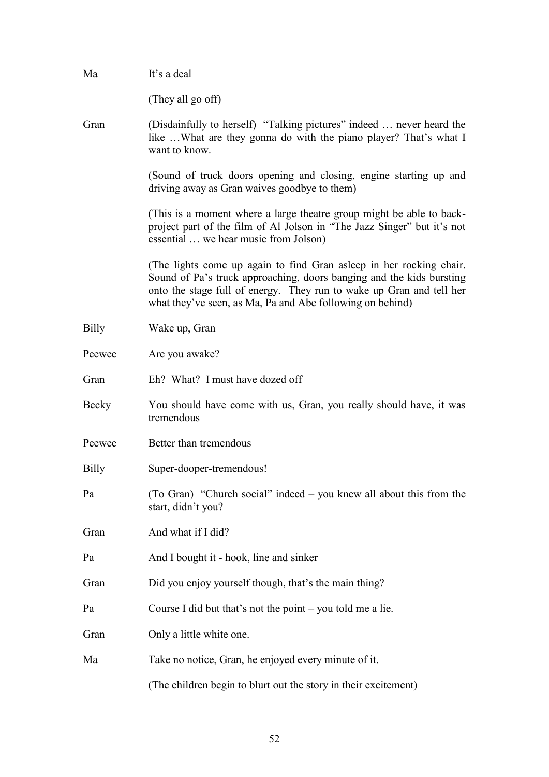| Ma     | It's a deal                                                                                                                                                                                                                                                                      |
|--------|----------------------------------------------------------------------------------------------------------------------------------------------------------------------------------------------------------------------------------------------------------------------------------|
|        | (They all go off)                                                                                                                                                                                                                                                                |
| Gran   | (Disdainfully to herself) "Talking pictures" indeed  never heard the<br>like What are they gonna do with the piano player? That's what I<br>want to know.                                                                                                                        |
|        | (Sound of truck doors opening and closing, engine starting up and<br>driving away as Gran waives goodbye to them)                                                                                                                                                                |
|        | (This is a moment where a large theatre group might be able to back-<br>project part of the film of Al Jolson in "The Jazz Singer" but it's not<br>essential  we hear music from Jolson)                                                                                         |
|        | (The lights come up again to find Gran asleep in her rocking chair.<br>Sound of Pa's truck approaching, doors banging and the kids bursting<br>onto the stage full of energy. They run to wake up Gran and tell her<br>what they've seen, as Ma, Pa and Abe following on behind) |
| Billy  | Wake up, Gran                                                                                                                                                                                                                                                                    |
| Peewee | Are you awake?                                                                                                                                                                                                                                                                   |
| Gran   | Eh? What? I must have dozed off                                                                                                                                                                                                                                                  |
| Becky  | You should have come with us, Gran, you really should have, it was<br>tremendous                                                                                                                                                                                                 |
| Peewee | Better than tremendous                                                                                                                                                                                                                                                           |
| Billy  | Super-dooper-tremendous!                                                                                                                                                                                                                                                         |
| Pa     | (To Gran) "Church social" indeed – you knew all about this from the<br>start, didn't you?                                                                                                                                                                                        |
| Gran   | And what if I did?                                                                                                                                                                                                                                                               |
| Pa     | And I bought it - hook, line and sinker                                                                                                                                                                                                                                          |
| Gran   | Did you enjoy yourself though, that's the main thing?                                                                                                                                                                                                                            |
| Pa     | Course I did but that's not the point $-$ you told me a lie.                                                                                                                                                                                                                     |
| Gran   | Only a little white one.                                                                                                                                                                                                                                                         |
| Ma     | Take no notice, Gran, he enjoyed every minute of it.                                                                                                                                                                                                                             |
|        | (The children begin to blurt out the story in their excitement)                                                                                                                                                                                                                  |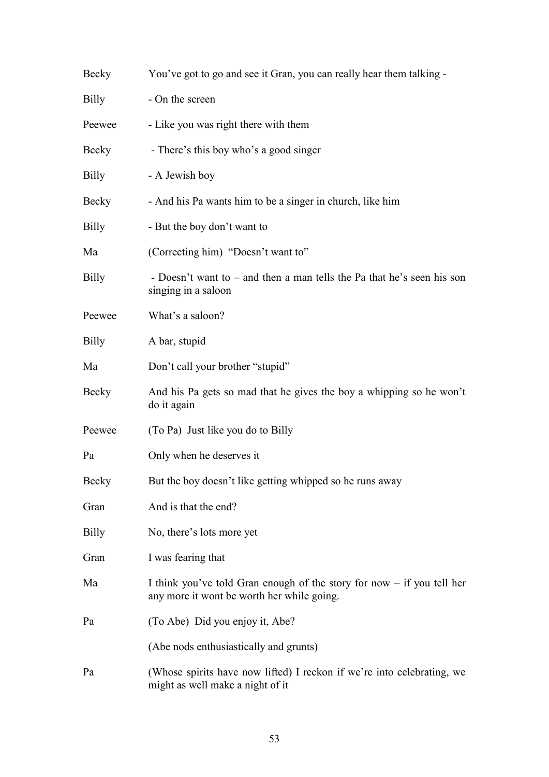| Becky        | You've got to go and see it Gran, you can really hear them talking -                                                   |
|--------------|------------------------------------------------------------------------------------------------------------------------|
| Billy        | - On the screen                                                                                                        |
| Peewee       | - Like you was right there with them                                                                                   |
| Becky        | - There's this boy who's a good singer                                                                                 |
| <b>Billy</b> | - A Jewish boy                                                                                                         |
| Becky        | - And his Pa wants him to be a singer in church, like him                                                              |
| Billy        | - But the boy don't want to                                                                                            |
| Ma           | (Correcting him) "Doesn't want to"                                                                                     |
| <b>Billy</b> | - Doesn't want to – and then a man tells the Pa that he's seen his son<br>singing in a saloon                          |
| Peewee       | What's a saloon?                                                                                                       |
| Billy        | A bar, stupid                                                                                                          |
| Ma           | Don't call your brother "stupid"                                                                                       |
| Becky        | And his Pa gets so mad that he gives the boy a whipping so he won't<br>do it again                                     |
| Peewee       | (To Pa) Just like you do to Billy                                                                                      |
| Pa           | Only when he deserves it                                                                                               |
| Becky        | But the boy doesn't like getting whipped so he runs away                                                               |
| Gran         | And is that the end?                                                                                                   |
| Billy        | No, there's lots more yet                                                                                              |
| Gran         | I was fearing that                                                                                                     |
| Ma           | I think you've told Gran enough of the story for now $-$ if you tell her<br>any more it wont be worth her while going. |
| Pa           | (To Abe) Did you enjoy it, Abe?                                                                                        |
|              | (Abe nods enthusiastically and grunts)                                                                                 |
| Pa           | (Whose spirits have now lifted) I reckon if we're into celebrating, we<br>might as well make a night of it             |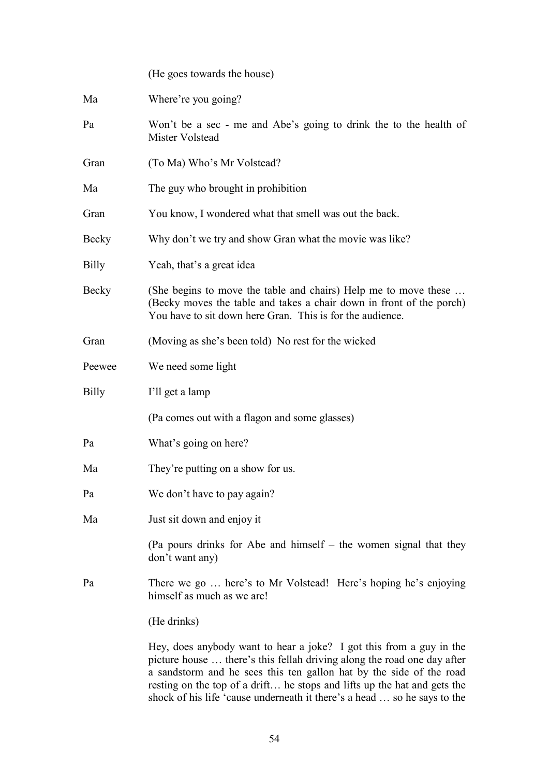|              | (He goes towards the house)                                                                                                                                                                                                                                                                       |
|--------------|---------------------------------------------------------------------------------------------------------------------------------------------------------------------------------------------------------------------------------------------------------------------------------------------------|
| Ma           | Where're you going?                                                                                                                                                                                                                                                                               |
| Pa           | Won't be a sec - me and Abe's going to drink the to the health of<br>Mister Volstead                                                                                                                                                                                                              |
| Gran         | (To Ma) Who's Mr Volstead?                                                                                                                                                                                                                                                                        |
| Ma           | The guy who brought in prohibition                                                                                                                                                                                                                                                                |
| Gran         | You know, I wondered what that smell was out the back.                                                                                                                                                                                                                                            |
| Becky        | Why don't we try and show Gran what the movie was like?                                                                                                                                                                                                                                           |
| <b>Billy</b> | Yeah, that's a great idea                                                                                                                                                                                                                                                                         |
| Becky        | (She begins to move the table and chairs) Help me to move these<br>(Becky moves the table and takes a chair down in front of the porch)<br>You have to sit down here Gran. This is for the audience.                                                                                              |
| Gran         | (Moving as she's been told) No rest for the wicked                                                                                                                                                                                                                                                |
| Peewee       | We need some light                                                                                                                                                                                                                                                                                |
| Billy        | I'll get a lamp                                                                                                                                                                                                                                                                                   |
|              | (Pa comes out with a flagon and some glasses)                                                                                                                                                                                                                                                     |
| Pa           | What's going on here?                                                                                                                                                                                                                                                                             |
| Ma           | They're putting on a show for us.                                                                                                                                                                                                                                                                 |
| Pa           | We don't have to pay again?                                                                                                                                                                                                                                                                       |
| Ma           | Just sit down and enjoy it                                                                                                                                                                                                                                                                        |
|              | (Pa pours drinks for Abe and himself – the women signal that they<br>don't want any)                                                                                                                                                                                                              |
| Pa           | There we go  here's to Mr Volstead! Here's hoping he's enjoying<br>himself as much as we are!                                                                                                                                                                                                     |
|              | (He drinks)                                                                                                                                                                                                                                                                                       |
|              | Hey, does anybody want to hear a joke? I got this from a guy in the<br>picture house  there's this fellah driving along the road one day after<br>a sandstorm and he sees this ten gallon hat by the side of the road<br>resting on the top of a drift he stops and lifts up the hat and gets the |

shock of his life 'cause underneath it there's a head … so he says to the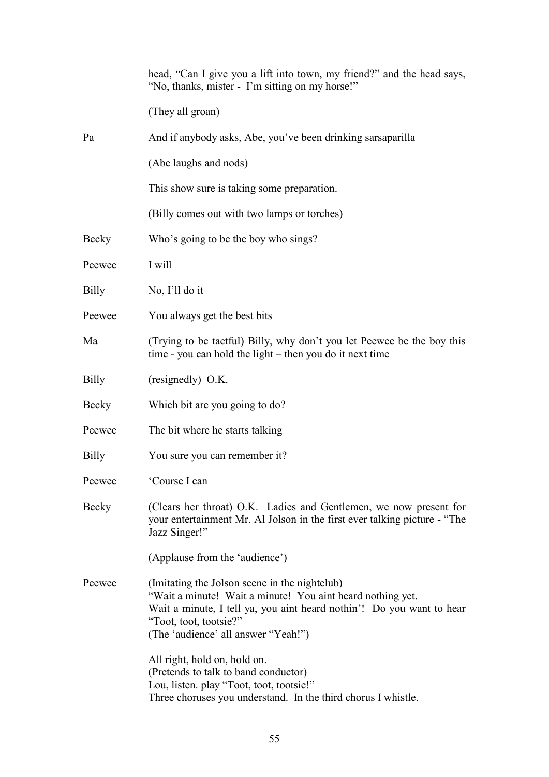|              | head, "Can I give you a lift into town, my friend?" and the head says,<br>"No, thanks, mister - I'm sitting on my horse!"                                                                                                                                                             |
|--------------|---------------------------------------------------------------------------------------------------------------------------------------------------------------------------------------------------------------------------------------------------------------------------------------|
|              | (They all groan)                                                                                                                                                                                                                                                                      |
| Pa           | And if anybody asks, Abe, you've been drinking sarsaparilla                                                                                                                                                                                                                           |
|              | (Abe laughs and nods)                                                                                                                                                                                                                                                                 |
|              | This show sure is taking some preparation.                                                                                                                                                                                                                                            |
|              | (Billy comes out with two lamps or torches)                                                                                                                                                                                                                                           |
| <b>Becky</b> | Who's going to be the boy who sings?                                                                                                                                                                                                                                                  |
| Peewee       | I will                                                                                                                                                                                                                                                                                |
| <b>Billy</b> | No, I'll do it                                                                                                                                                                                                                                                                        |
| Peewee       | You always get the best bits                                                                                                                                                                                                                                                          |
| Ma           | (Trying to be tactful) Billy, why don't you let Peewee be the boy this<br>time - you can hold the light – then you do it next time                                                                                                                                                    |
| Billy        | (resignedly) O.K.                                                                                                                                                                                                                                                                     |
| Becky        | Which bit are you going to do?                                                                                                                                                                                                                                                        |
| Peewee       | The bit where he starts talking                                                                                                                                                                                                                                                       |
| <b>Billy</b> | You sure you can remember it?                                                                                                                                                                                                                                                         |
| Peewee       | 'Course I can                                                                                                                                                                                                                                                                         |
| Becky        | (Clears her throat) O.K. Ladies and Gentlemen, we now present for<br>your entertainment Mr. Al Jolson in the first ever talking picture - "The<br>Jazz Singer!"                                                                                                                       |
|              | (Applause from the 'audience')                                                                                                                                                                                                                                                        |
| Peewee       | (Imitating the Jolson scene in the nightclub)<br>"Wait a minute! Wait a minute! You aint heard nothing yet.<br>Wait a minute, I tell ya, you aint heard nothin'! Do you want to hear<br>"Toot, toot, tootsie?"<br>(The 'audience' all answer "Yeah!")<br>All right, hold on, hold on. |
|              | (Pretends to talk to band conductor)<br>Lou, listen. play "Toot, toot, tootsie!"<br>Three choruses you understand. In the third chorus I whistle.                                                                                                                                     |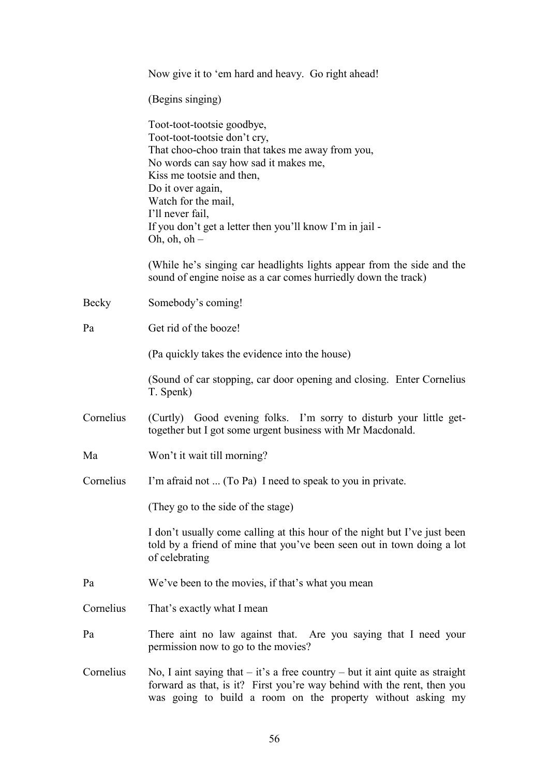|           | Now give it to 'em hard and heavy. Go right ahead!                                                                                                                                                                                                                                                                                  |
|-----------|-------------------------------------------------------------------------------------------------------------------------------------------------------------------------------------------------------------------------------------------------------------------------------------------------------------------------------------|
|           | (Begins singing)                                                                                                                                                                                                                                                                                                                    |
|           | Toot-toot-tootsie goodbye,<br>Toot-toot-tootsie don't cry,<br>That choo-choo train that takes me away from you,<br>No words can say how sad it makes me,<br>Kiss me tootsie and then,<br>Do it over again,<br>Watch for the mail,<br>I'll never fail,<br>If you don't get a letter then you'll know I'm in jail -<br>Oh, oh, $oh$ – |
|           | (While he's singing car headlights lights appear from the side and the<br>sound of engine noise as a car comes hurriedly down the track)                                                                                                                                                                                            |
| Becky     | Somebody's coming!                                                                                                                                                                                                                                                                                                                  |
| Pa        | Get rid of the booze!                                                                                                                                                                                                                                                                                                               |
|           | (Pa quickly takes the evidence into the house)                                                                                                                                                                                                                                                                                      |
|           | (Sound of car stopping, car door opening and closing. Enter Cornelius<br>T. Spenk)                                                                                                                                                                                                                                                  |
| Cornelius | (Curtly) Good evening folks. I'm sorry to disturb your little get-<br>together but I got some urgent business with Mr Macdonald.                                                                                                                                                                                                    |
| Ma        | Won't it wait till morning?                                                                                                                                                                                                                                                                                                         |
| Cornelius | I'm afraid not  (To Pa) I need to speak to you in private.                                                                                                                                                                                                                                                                          |
|           | (They go to the side of the stage)                                                                                                                                                                                                                                                                                                  |
|           | I don't usually come calling at this hour of the night but I've just been<br>told by a friend of mine that you've been seen out in town doing a lot<br>of celebrating                                                                                                                                                               |
| Pa        | We've been to the movies, if that's what you mean                                                                                                                                                                                                                                                                                   |
| Cornelius | That's exactly what I mean                                                                                                                                                                                                                                                                                                          |
| Pa        | There aint no law against that. Are you saying that I need your<br>permission now to go to the movies?                                                                                                                                                                                                                              |
| Cornelius | No, I aint saying that $-$ it's a free country $-$ but it aint quite as straight<br>forward as that, is it? First you're way behind with the rent, then you<br>was going to build a room on the property without asking my                                                                                                          |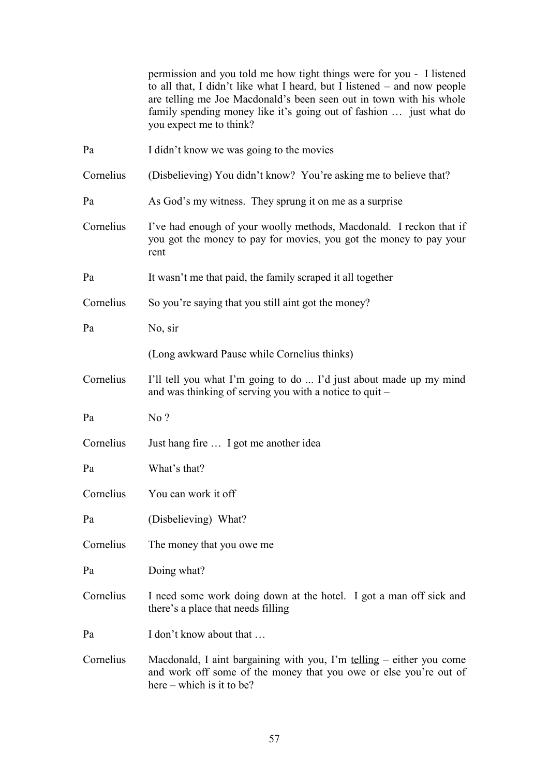|           | permission and you told me how tight things were for you - I listened<br>to all that, I didn't like what I heard, but I listened – and now people<br>are telling me Joe Macdonald's been seen out in town with his whole<br>family spending money like it's going out of fashion  just what do<br>you expect me to think? |
|-----------|---------------------------------------------------------------------------------------------------------------------------------------------------------------------------------------------------------------------------------------------------------------------------------------------------------------------------|
| Pa        | I didn't know we was going to the movies                                                                                                                                                                                                                                                                                  |
| Cornelius | (Disbelieving) You didn't know? You're asking me to believe that?                                                                                                                                                                                                                                                         |
| Pa        | As God's my witness. They sprung it on me as a surprise                                                                                                                                                                                                                                                                   |
| Cornelius | I've had enough of your woolly methods, Macdonald. I reckon that if<br>you got the money to pay for movies, you got the money to pay your<br>rent                                                                                                                                                                         |
| Pa        | It wasn't me that paid, the family scraped it all together                                                                                                                                                                                                                                                                |
| Cornelius | So you're saying that you still aint got the money?                                                                                                                                                                                                                                                                       |
| Pa        | No, sir                                                                                                                                                                                                                                                                                                                   |
|           | (Long awkward Pause while Cornelius thinks)                                                                                                                                                                                                                                                                               |
| Cornelius | I'll tell you what I'm going to do  I'd just about made up my mind<br>and was thinking of serving you with a notice to quit –                                                                                                                                                                                             |
| Pa        | No?                                                                                                                                                                                                                                                                                                                       |
| Cornelius | Just hang fire  I got me another idea                                                                                                                                                                                                                                                                                     |
| Pa        | What's that?                                                                                                                                                                                                                                                                                                              |
| Cornelius | You can work it off                                                                                                                                                                                                                                                                                                       |
| Pa        | (Disbelieving) What?                                                                                                                                                                                                                                                                                                      |
| Cornelius | The money that you owe me                                                                                                                                                                                                                                                                                                 |
| Pa        | Doing what?                                                                                                                                                                                                                                                                                                               |
| Cornelius | I need some work doing down at the hotel. I got a man off sick and<br>there's a place that needs filling                                                                                                                                                                                                                  |
| Pa        | I don't know about that                                                                                                                                                                                                                                                                                                   |
| Cornelius | Macdonald, I aint bargaining with you, I'm telling – either you come<br>and work off some of the money that you owe or else you're out of<br>here – which is it to be?                                                                                                                                                    |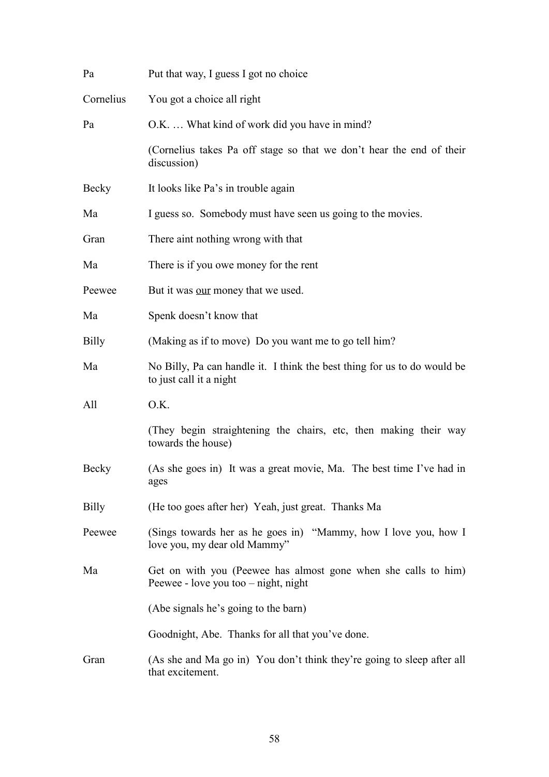| Pa           | Put that way, I guess I got no choice                                                                    |
|--------------|----------------------------------------------------------------------------------------------------------|
| Cornelius    | You got a choice all right                                                                               |
| Pa           | O.K.  What kind of work did you have in mind?                                                            |
|              | (Cornelius takes Pa off stage so that we don't hear the end of their<br>discussion)                      |
| Becky        | It looks like Pa's in trouble again                                                                      |
| Ma           | I guess so. Somebody must have seen us going to the movies.                                              |
| Gran         | There aint nothing wrong with that                                                                       |
| Ma           | There is if you owe money for the rent                                                                   |
| Peewee       | But it was our money that we used.                                                                       |
| Ma           | Spenk doesn't know that                                                                                  |
| <b>Billy</b> | (Making as if to move) Do you want me to go tell him?                                                    |
| Ma           | No Billy, Pa can handle it. I think the best thing for us to do would be<br>to just call it a night      |
| All          | O.K.                                                                                                     |
|              | (They begin straightening the chairs, etc, then making their way<br>towards the house)                   |
| Becky        | (As she goes in) It was a great movie, Ma. The best time I've had in<br>ages                             |
| <b>Billy</b> | (He too goes after her) Yeah, just great. Thanks Ma                                                      |
| Peewee       | (Sings towards her as he goes in) "Mammy, how I love you, how I<br>love you, my dear old Mammy"          |
| Ma           | Get on with you (Peewee has almost gone when she calls to him)<br>Peewee - love you too $-$ night, night |
|              | (Abe signals he's going to the barn)                                                                     |
|              | Goodnight, Abe. Thanks for all that you've done.                                                         |
| Gran         | (As she and Ma go in) You don't think they're going to sleep after all<br>that excitement.               |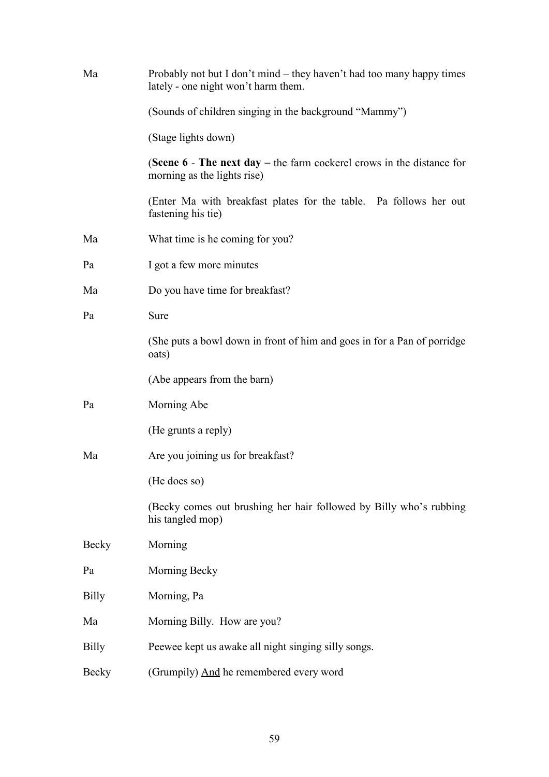| Ma           | Probably not but I don't mind – they haven't had too many happy times<br>lately - one night won't harm them. |
|--------------|--------------------------------------------------------------------------------------------------------------|
|              | (Sounds of children singing in the background "Mammy")                                                       |
|              | (Stage lights down)                                                                                          |
|              | (Scene $6$ - The next day – the farm cockerel crows in the distance for<br>morning as the lights rise)       |
|              | (Enter Ma with breakfast plates for the table. Pa follows her out<br>fastening his tie)                      |
| Ma           | What time is he coming for you?                                                                              |
| Pa           | I got a few more minutes                                                                                     |
| Ma           | Do you have time for breakfast?                                                                              |
| Pa           | Sure                                                                                                         |
|              | (She puts a bowl down in front of him and goes in for a Pan of porridge<br>oats)                             |
|              | (Abe appears from the barn)                                                                                  |
| Pa           | Morning Abe                                                                                                  |
|              | (He grunts a reply)                                                                                          |
| Ma           | Are you joining us for breakfast?                                                                            |
|              | (He does so)                                                                                                 |
|              | (Becky comes out brushing her hair followed by Billy who's rubbing<br>his tangled mop)                       |
| Becky        | Morning                                                                                                      |
| Pa           | Morning Becky                                                                                                |
| <b>Billy</b> | Morning, Pa                                                                                                  |
| Ma           | Morning Billy. How are you?                                                                                  |
| <b>Billy</b> | Peewee kept us awake all night singing silly songs.                                                          |
| <b>Becky</b> | (Grumpily) And he remembered every word                                                                      |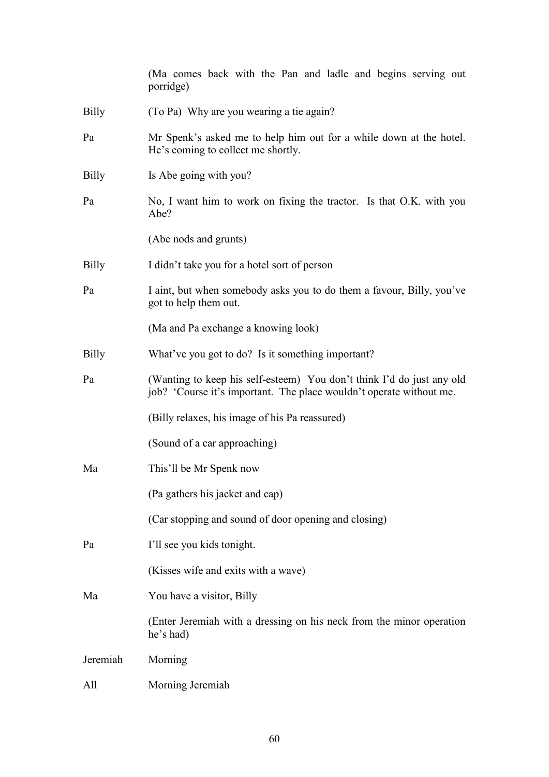|              | (Ma comes back with the Pan and ladle and begins serving out<br>porridge)                                                                    |
|--------------|----------------------------------------------------------------------------------------------------------------------------------------------|
| Billy        | (To Pa) Why are you wearing a tie again?                                                                                                     |
| Pa           | Mr Spenk's asked me to help him out for a while down at the hotel.<br>He's coming to collect me shortly.                                     |
| <b>Billy</b> | Is Abe going with you?                                                                                                                       |
| Pa           | No, I want him to work on fixing the tractor. Is that O.K. with you<br>Abe?                                                                  |
|              | (Abe nods and grunts)                                                                                                                        |
| <b>Billy</b> | I didn't take you for a hotel sort of person                                                                                                 |
| Pa           | I aint, but when somebody asks you to do them a favour, Billy, you've<br>got to help them out.                                               |
|              | (Ma and Pa exchange a knowing look)                                                                                                          |
| <b>Billy</b> | What've you got to do? Is it something important?                                                                                            |
| Pa           | (Wanting to keep his self-esteem) You don't think I'd do just any old<br>job? 'Course it's important. The place wouldn't operate without me. |
|              | (Billy relaxes, his image of his Pa reassured)                                                                                               |
|              | (Sound of a car approaching)                                                                                                                 |
| Ma           | This'll be Mr Spenk now                                                                                                                      |
|              | (Pa gathers his jacket and cap)                                                                                                              |
|              | (Car stopping and sound of door opening and closing)                                                                                         |
| Pa           | I'll see you kids tonight.                                                                                                                   |
|              | (Kisses wife and exits with a wave)                                                                                                          |
| Ma           | You have a visitor, Billy                                                                                                                    |
|              | (Enter Jeremiah with a dressing on his neck from the minor operation<br>he's had)                                                            |
| Jeremiah     | Morning                                                                                                                                      |
| All          | Morning Jeremiah                                                                                                                             |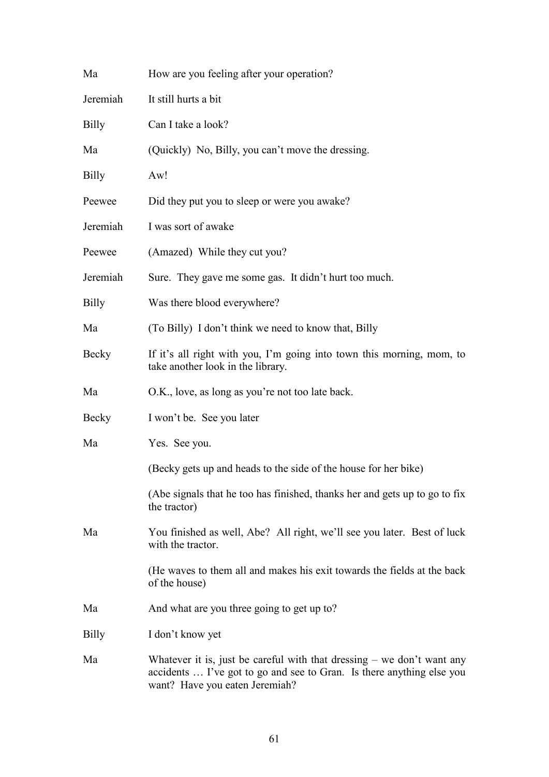| Ma           | How are you feeling after your operation?                                                                                                                                           |
|--------------|-------------------------------------------------------------------------------------------------------------------------------------------------------------------------------------|
| Jeremiah     | It still hurts a bit                                                                                                                                                                |
| <b>Billy</b> | Can I take a look?                                                                                                                                                                  |
| Ma           | (Quickly) No, Billy, you can't move the dressing.                                                                                                                                   |
| <b>Billy</b> | Aw!                                                                                                                                                                                 |
| Peewee       | Did they put you to sleep or were you awake?                                                                                                                                        |
| Jeremiah     | I was sort of awake                                                                                                                                                                 |
| Peewee       | (Amazed) While they cut you?                                                                                                                                                        |
| Jeremiah     | Sure. They gave me some gas. It didn't hurt too much.                                                                                                                               |
| <b>Billy</b> | Was there blood everywhere?                                                                                                                                                         |
| Ma           | (To Billy) I don't think we need to know that, Billy                                                                                                                                |
| Becky        | If it's all right with you, I'm going into town this morning, mom, to<br>take another look in the library.                                                                          |
| Ma           | O.K., love, as long as you're not too late back.                                                                                                                                    |
| Becky        | I won't be. See you later                                                                                                                                                           |
| Ma           | Yes. See you.                                                                                                                                                                       |
|              | (Becky gets up and heads to the side of the house for her bike)                                                                                                                     |
|              | (Abe signals that he too has finished, thanks her and gets up to go to fix<br>the tractor)                                                                                          |
| Ma           | You finished as well, Abe? All right, we'll see you later. Best of luck<br>with the tractor.                                                                                        |
|              | (He waves to them all and makes his exit towards the fields at the back<br>of the house)                                                                                            |
| Ma           | And what are you three going to get up to?                                                                                                                                          |
| Billy        | I don't know yet                                                                                                                                                                    |
| Ma           | Whatever it is, just be careful with that dressing $-$ we don't want any<br>accidents  I've got to go and see to Gran. Is there anything else you<br>want? Have you eaten Jeremiah? |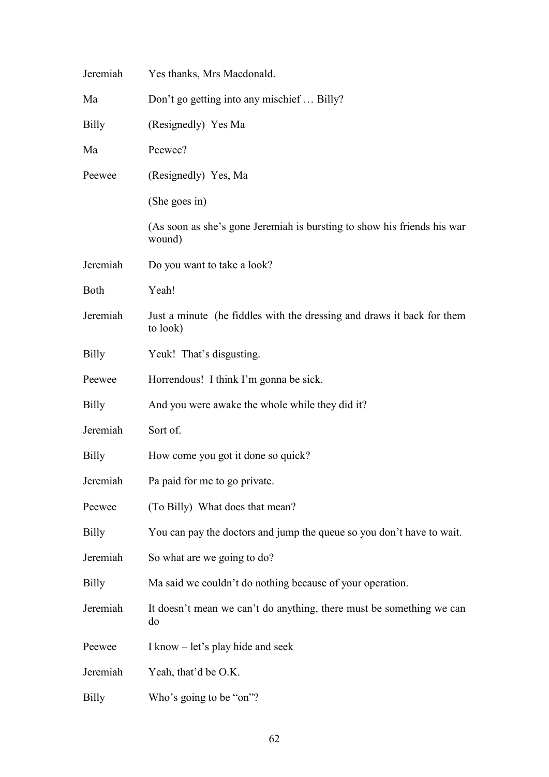| Jeremiah     | Yes thanks, Mrs Macdonald.                                                         |
|--------------|------------------------------------------------------------------------------------|
| Ma           | Don't go getting into any mischief  Billy?                                         |
| Billy        | (Resignedly) Yes Ma                                                                |
| Ma           | Peewee?                                                                            |
| Peewee       | (Resignedly) Yes, Ma                                                               |
|              | (She goes in)                                                                      |
|              | (As soon as she's gone Jeremiah is bursting to show his friends his war<br>wound)  |
| Jeremiah     | Do you want to take a look?                                                        |
| Both         | Yeah!                                                                              |
| Jeremiah     | Just a minute (he fiddles with the dressing and draws it back for them<br>to look) |
| <b>Billy</b> | Yeuk! That's disgusting.                                                           |
| Peewee       | Horrendous! I think I'm gonna be sick.                                             |
| <b>Billy</b> | And you were awake the whole while they did it?                                    |
| Jeremiah     | Sort of.                                                                           |
| <b>Billy</b> | How come you got it done so quick?                                                 |
| Jeremiah     | Pa paid for me to go private.                                                      |
| Peewee       | (To Billy) What does that mean?                                                    |
| <b>Billy</b> | You can pay the doctors and jump the queue so you don't have to wait.              |
| Jeremiah     | So what are we going to do?                                                        |
| <b>Billy</b> | Ma said we couldn't do nothing because of your operation.                          |
| Jeremiah     | It doesn't mean we can't do anything, there must be something we can<br>do         |
| Peewee       | I know – let's play hide and seek                                                  |
| Jeremiah     | Yeah, that'd be O.K.                                                               |
| <b>Billy</b> | Who's going to be "on"?                                                            |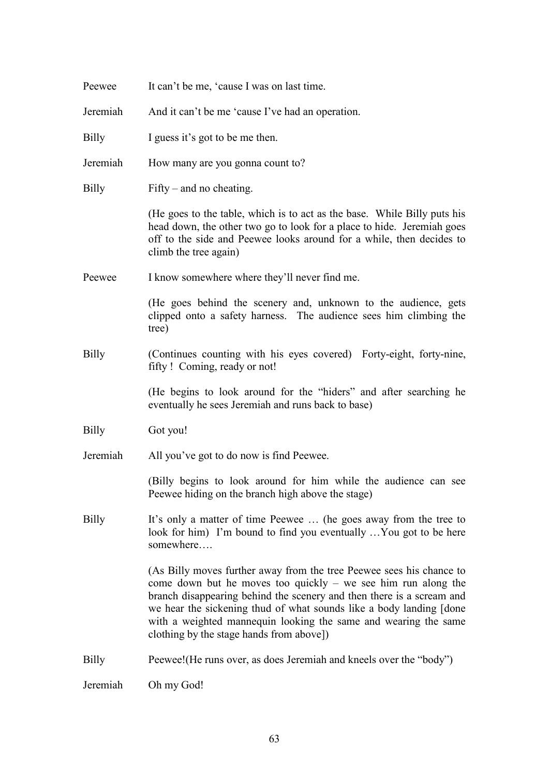| Peewee       | It can't be me, 'cause I was on last time.                                                                                                                                                                                                                                                                                                                                                             |
|--------------|--------------------------------------------------------------------------------------------------------------------------------------------------------------------------------------------------------------------------------------------------------------------------------------------------------------------------------------------------------------------------------------------------------|
| Jeremiah     | And it can't be me 'cause I've had an operation.                                                                                                                                                                                                                                                                                                                                                       |
| <b>Billy</b> | I guess it's got to be me then.                                                                                                                                                                                                                                                                                                                                                                        |
| Jeremiah     | How many are you gonna count to?                                                                                                                                                                                                                                                                                                                                                                       |
| <b>Billy</b> | Fifty – and no cheating.                                                                                                                                                                                                                                                                                                                                                                               |
|              | (He goes to the table, which is to act as the base. While Billy puts his<br>head down, the other two go to look for a place to hide. Jeremiah goes<br>off to the side and Peewee looks around for a while, then decides to<br>climb the tree again)                                                                                                                                                    |
| Peewee       | I know somewhere where they'll never find me.                                                                                                                                                                                                                                                                                                                                                          |
|              | (He goes behind the scenery and, unknown to the audience, gets<br>clipped onto a safety harness. The audience sees him climbing the<br>tree)                                                                                                                                                                                                                                                           |
| <b>Billy</b> | (Continues counting with his eyes covered) Forty-eight, forty-nine,<br>fifty! Coming, ready or not!                                                                                                                                                                                                                                                                                                    |
|              | (He begins to look around for the "hiders" and after searching he<br>eventually he sees Jeremiah and runs back to base)                                                                                                                                                                                                                                                                                |
| Billy        | Got you!                                                                                                                                                                                                                                                                                                                                                                                               |
| Jeremiah     | All you've got to do now is find Peewee.                                                                                                                                                                                                                                                                                                                                                               |
|              | (Billy begins to look around for him while the audience can see<br>Peewee hiding on the branch high above the stage)                                                                                                                                                                                                                                                                                   |
| Billy        | It's only a matter of time Peewee  (he goes away from the tree to<br>look for him) I'm bound to find you eventually  You got to be here<br>somewhere                                                                                                                                                                                                                                                   |
|              | (As Billy moves further away from the tree Peewee sees his chance to<br>come down but he moves too quickly $-$ we see him run along the<br>branch disappearing behind the scenery and then there is a scream and<br>we hear the sickening thud of what sounds like a body landing [done<br>with a weighted mannequin looking the same and wearing the same<br>clothing by the stage hands from above]) |
| Billy        | Peewee! (He runs over, as does Jeremiah and kneels over the "body")                                                                                                                                                                                                                                                                                                                                    |
| Jeremiah     | Oh my God!                                                                                                                                                                                                                                                                                                                                                                                             |